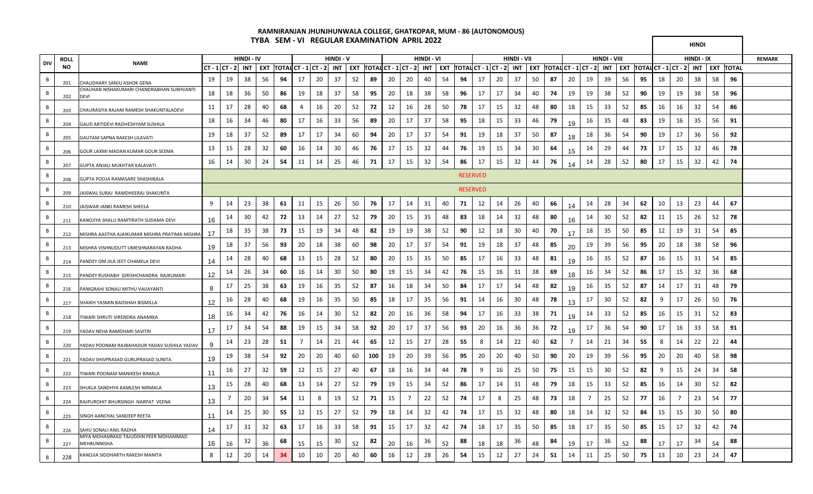# **RAMNIRANJAN JHUNJHUNWALA COLLEGE, GHATKOPAR, MUM - 86 (AUTONOMOUS) HINDIAL SEM - VI REGULAR EXAMINATION APRIL 2022**

|            |             |                                                     |    |                |            |    |    |                                      |    |           |            |                     |    |    |            |            |    |                 |                                       |             |     |    |                |                                                                                                                                                                                                                                  |              |     |                                        |    |                | <b>HINDI</b> |    |                  |               |
|------------|-------------|-----------------------------------------------------|----|----------------|------------|----|----|--------------------------------------|----|-----------|------------|---------------------|----|----|------------|------------|----|-----------------|---------------------------------------|-------------|-----|----|----------------|----------------------------------------------------------------------------------------------------------------------------------------------------------------------------------------------------------------------------------|--------------|-----|----------------------------------------|----|----------------|--------------|----|------------------|---------------|
| <b>DIV</b> | <b>ROLL</b> | <b>NAME</b>                                         |    |                | HINDI - IV |    |    |                                      |    | HINDI - V |            |                     |    |    | HINDI - VI |            |    |                 |                                       | HINDI - VII |     |    |                |                                                                                                                                                                                                                                  | HINDI - VIII |     |                                        |    |                | HINDI - IX   |    |                  | <b>REMARK</b> |
|            | NO          |                                                     |    | $CT - 1CT - 2$ |            |    |    | $INT$ $EXT$ $TOTA1CT - 1 CT - 2$ INT |    |           | <b>EXT</b> | TOTAL CT - 1 CT - 2 |    |    | <b>INT</b> | <b>EXT</b> |    |                 | $\overline{A}$ TOTALCT - 1 CT - 2 INT |             | EXT |    |                | $\begin{bmatrix} 1 & 0 \\ 0 & 1 \end{bmatrix} \begin{bmatrix} 0 \\ 0 \\ 1 \end{bmatrix} = \begin{bmatrix} 1 & 0 \\ 0 & 1 \end{bmatrix} \begin{bmatrix} 0 \\ 0 \\ 1 \end{bmatrix} = \begin{bmatrix} 1 & 0 \\ 0 & 1 \end{bmatrix}$ | <b>INT</b>   | EXT | $\overline{a}$ TOTAL CT - 1 CT - 2 INT |    |                |              |    | <b>EXT TOTAL</b> |               |
| B          | 201         | CHAUDHARY SANJU ASHOK GENA                          | 19 | 19             | 38         | 56 | 94 | 17                                   | 20 | 37        | 52         | 89                  | 20 | 20 | 40         | 54         | 94 | 17              | 20                                    | 37          | 50  | 87 | 20             | 19                                                                                                                                                                                                                               | 39           | 56  | 95                                     | 18 | 20             | 38           | 58 | 96               |               |
| В          | 202         | CHAUHAN NISHAKUMARI CHANDRABHAN SUBHVANTI<br>devi   | 18 | 18             | 36         | 50 | 86 | 19                                   | 18 | 37        | 58         | 95                  | 20 | 18 | 38         | 58         | 96 | 17              | 17                                    | 34          | 40  | 74 | 19             | 19                                                                                                                                                                                                                               | 38           | 52  | 90                                     | 19 | 19             | 38           | 58 | 96               |               |
| B          | 203         | CHAURASIYA RAJANI RAMESH SHAKUNTALADEVI             | 11 | 17             | 28         | 40 | 68 | 4                                    | 16 | 20        | 52         | 72                  | 12 | 16 | 28         | 50         | 78 | 17              | 15                                    | 32          | 48  | 80 | 18             | 15                                                                                                                                                                                                                               | 33           | 52  | 85                                     | 16 | 16             | 32           | 54 | 86               |               |
| В          | 204         | GAUD ARTIDEVI RADHESHYAM SUSHILA                    | 18 | 16             | 34         | 46 | 80 | 17                                   | 16 | 33        | 56         | 89                  | 20 | 17 | 37         | 58         | 95 | 18              | 15                                    | 33          | 46  | 79 | 19             | 16                                                                                                                                                                                                                               | 35           | 48  | 83                                     | 19 | 16             | 35           | 56 | 91               |               |
| B          | 205         | GAUTAM SAPNA RAKESH LILAVATI                        | 19 | 18             | 37         | 52 | 89 | 17                                   | 17 | 34        | 60         | 94                  | 20 | 17 | 37         | 54         | 91 | 19              | 18                                    | 37          | 50  | 87 | 18             | 18                                                                                                                                                                                                                               | 36           | 54  | 90                                     | 19 | 17             | 36           | 56 | 92               |               |
| B          | 206         | GOUR LAXMI MADAN KUMAR GOUR SEEMA                   | 13 | 15             | 28         | 32 | 60 | 16                                   | 14 | 30        | 46         | 76                  | 17 | 15 | 32         | 44         | 76 | 19              | 15                                    | 34          | 30  | 64 | 15             | 14                                                                                                                                                                                                                               | 29           | 44  | 73                                     | 17 | 15             | 32           | 46 | 78               |               |
| B          | 207         | GUPTA ANJALI MUKHTAR KALAVATI                       | 16 | 14             | 30         | 24 | 54 | 11                                   | 14 | 25        | 46         | 71                  | 17 | 15 | 32         | 54         | 86 | 17              | 15                                    | 32          | 44  | 76 |                | 14                                                                                                                                                                                                                               | 28           | 52  | 80                                     | 17 | 15             | 32           | 42 | 74               |               |
| B          | 208         | GUPTA POOJA RAMASARE SHASHIBALA                     |    |                |            |    |    |                                      |    |           |            |                     |    |    |            |            |    | <b>RESERVED</b> |                                       |             |     |    |                |                                                                                                                                                                                                                                  |              |     |                                        |    |                |              |    |                  |               |
| B          | 209         | IAISWAL SURAJ RAMDHEERAJ SHAKUNTA                   |    |                |            |    |    |                                      |    |           |            |                     |    |    |            |            |    | <b>RESERVED</b> |                                       |             |     |    |                |                                                                                                                                                                                                                                  |              |     |                                        |    |                |              |    |                  |               |
| B          | 210         | JAISWAR JANKI RAMESH SHEELA                         | 9  | 14             | 23         | 38 | 61 | 11                                   | 15 | 26        | 50         | 76                  | 17 | 14 | 31         | 40         | 71 | 12              | 14                                    | 26          | 40  | 66 | 14             | 14                                                                                                                                                                                                                               | 28           | 34  | 62                                     | 10 | 13             | 23           | 44 | 67               |               |
| В          | 211         | KANOJIYA SHALU RAMTIRATH SUDAMA DEVI                | 16 | 14             | 30         | 42 | 72 | 13                                   | 14 | 27        | 52         | 79                  | 20 | 15 | 35         | 48         | 83 | 18              | 14                                    | 32          | 48  | 80 | 16             | 14                                                                                                                                                                                                                               | 30           | 52  | 82                                     | 11 | 15             | 26           | 52 | 78               |               |
| B          | 212         | MISHRA AASTHA AJAIKUMAR MISHRA PRATIMA MISHRA       | 17 | 18             | 35         | 38 | 73 | 15                                   | 19 | 34        | 48         | 82                  | 19 | 19 | 38         | 52         | 90 | 12              | 18                                    | 30          | 40  | 70 | 17             | 18                                                                                                                                                                                                                               | 35           | 50  | 85                                     | 12 | 19             | 31           | 54 | 85               |               |
| В          | 213         | MISHRA VISHNUDUTT UMESHNARAYAN RADHA                | 19 | 18             | 37         | 56 | 93 | 20                                   | 18 | 38        | 60         | 98                  | 20 | 17 | 37         | 54         | 91 | 19              | 18                                    | 37          | 48  | 85 | 20             | 19                                                                                                                                                                                                                               | 39           | 56  | 95                                     | 20 | 18             | 38           | 58 | 96               |               |
| B          | 214         | PANDEY OM JILA JEET CHAMELA DEVI                    | 14 | 14             | 28         | 40 | 68 | 13                                   | 15 | 28        | 52         | 80                  | 20 | 15 | 35         | 50         | 85 | 17              | 16                                    | 33          | 48  | 81 | 19             | 16                                                                                                                                                                                                                               | 35           | 52  | 87                                     | 16 | 15             | 31           | 54 | 85               |               |
| В          | 215         | PANDEY RUSHABH GIRISHCHANDRA RAJKUMARI              | 12 | 14             | 26         | 34 | 60 | 16                                   | 14 | 30        | 50         | 80                  | 19 | 15 | 34         | 42         | 76 | 15              | 16                                    | 31          | 38  | 69 | 18             | 16                                                                                                                                                                                                                               | 34           | 52  | 86                                     | 17 | 15             | 32           | 36 | 68               |               |
| B          | 216         | PANIGRAHI SONALI MITHU VAIJAYANTI                   | 8  | 17             | 25         | 38 | 63 | 19                                   | 16 | 35        | 52         | 87                  | 16 | 18 | 34         | 50         | 84 | 17              | 17                                    | 34          | 48  | 82 | 19             | 16                                                                                                                                                                                                                               | 35           | 52  | 87                                     | 14 | 17             | 31           | 48 | 79               |               |
| В          | 217         | SHAIKH YASMIN BADSHAH BISMILLA                      | 12 | 16             | 28         | 40 | 68 | 19                                   | 16 | 35        | 50         | 85                  | 18 | 17 | 35         | 56         | 91 | 14              | 16                                    | 30          | 48  | 78 | 13             | 17                                                                                                                                                                                                                               | 30           | 52  | 82                                     | 9  | 17             | 26           | 50 | 76               |               |
| B          | 218         | TIWARI SHRUTI VIRENDRA ANAMIKA                      | 18 | 16             | 34         | 42 | 76 | 16                                   | 14 | 30        | 52         | 82                  | 20 | 16 | 36         | 58         | 94 | 17              | 16                                    | 33          | -38 | 71 | 19             | 14                                                                                                                                                                                                                               | -33          | 52  | 85                                     | 16 | 15             | 31           | 52 | 83               |               |
| В          | 219         | YADAV NEHA RAMDHARI SAVITRI                         | 17 | 17             | 34         | 54 | 88 | 19                                   | 15 | 34        | 58         | 92                  | 20 | 17 | 37         | 56         | 93 | 20              | 16                                    | 36          | 36  | 72 | 19             | 17                                                                                                                                                                                                                               | 36           | 54  | 90                                     | 17 | 16             | 33           | 58 | 91               |               |
| B          | 220         | YADAV POONAM RAJBAHADUR YADAV SUSHILA YADAV         | 9  | 14             | 23         | 28 | 51 | $\overline{7}$                       | 14 | 21        | 44         | 65                  | 12 | 15 | 27         | 28         | 55 | 8               | 14                                    | 22          | 40  | 62 | $\overline{7}$ | 14                                                                                                                                                                                                                               | 21           | 34  | 55                                     | 8  | 14             | 22           | 22 | 44               |               |
| В          | 221         | YADAV SHIVPRASAD GURUPRASAD SUNITA                  | 19 | 19             | 38         | 54 | 92 | 20                                   | 20 | 40        | 60         | 100                 | 19 | 20 | 39         | 56         | 95 | 20              | 20                                    | 40          | 50  | 90 | 20             | 19                                                                                                                                                                                                                               | 39           | 56  | 95                                     | 20 | 20             | 40           | 58 | 98               |               |
| B          | 222         | TIWARI POONAM MANIKESH BIMALA                       | 11 | 16             | 27         | 32 | 59 | 12                                   | 15 | 27        | 40         | 67                  | 18 | 16 | 34         | 44         | 78 | 9               | 16                                    | 25          | 50  | 75 | 15             | 15                                                                                                                                                                                                                               | 30           | 52  | 82                                     | 9  | 15             | 24           | 34 | 58               |               |
| В          | 223         | SHUKLA SANDHYA KAMLESH NIRMALA                      | 13 | 15             | 28         | 40 | 68 | 13                                   | 14 | 27        | 52         | 79                  | 19 | 15 | 34         | 52         | 86 | 17              | 14                                    | 31          | 48  | 79 | 18             | 15                                                                                                                                                                                                                               | 33           | 52  | 85                                     | 16 | 14             | 30           | 52 | 82               |               |
| B          | 224         | RAJPUROHIT BHURSINGH NARPAT VEENA                   | 13 |                | 20         | 34 | 54 | 11                                   | 8  | 19        | 52         | 71                  | 15 | 7  | 22         | 52         | 74 | 17              | 8                                     | 25          | 48  | 73 | 18             | $\overline{7}$                                                                                                                                                                                                                   | 25           | 52  | 77                                     | 16 | $\overline{7}$ | 23           | 54 | 77               |               |
| В          | 225         | SINGH AANCHAL SANDEEP REETA                         | 11 | 14             | 25         | 30 | 55 | 12                                   | 15 | 27        | 52         | 79                  | 18 | 14 | 32         | 42         | 74 | 17              | 15                                    | 32          | 48  | 80 | 18             | 14                                                                                                                                                                                                                               | 32           | 52  | -84                                    | 15 | 15             | 30           | 50 | 80               |               |
| B          | 226         | SAHU SONALI ANIL RADHA                              | 14 | 17             | 31         | 32 | 63 | 17                                   | 16 | 33        | 58         | 91                  | 15 | 17 | 32         | 42         | 74 | 18              | 17                                    | 35          | 50  | 85 | 18             | 17                                                                                                                                                                                                                               | 35           | 50  | 85                                     | 15 | 17             | 32           | 42 | 74               |               |
| В          | 227         | MIYA MOHAMMAD TAJUDDIN PEER MOHAMMAD<br>MEHRUNNISHA | 16 | 16             | 32         | 36 | 68 | 15                                   | 15 | 30        | 52         | 82                  | 20 | 16 | 36         | 52         | 88 | 18              | 18                                    | 36          | 48  | 84 | 19             | 17                                                                                                                                                                                                                               | 36           | 52  | 88                                     | 17 | 17             | 34           | 54 | 88               |               |
| B          | 228         | KANOJIA SIDDHARTH RAKESH MAMTA                      | 8  | 12             | 20         | 14 | 34 | 10                                   | 10 | 20        | 40         | 60                  | 16 | 12 | 28         | 26         | 54 | 15              | 12                                    | 27          | 24  | 51 | 14             | 11                                                                                                                                                                                                                               | 25           | 50  | 75                                     | 13 | 10             | 23           | 24 | 47               |               |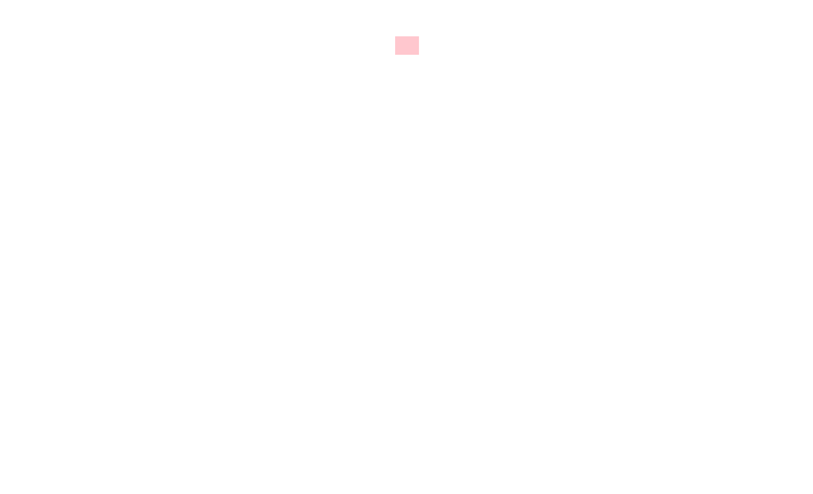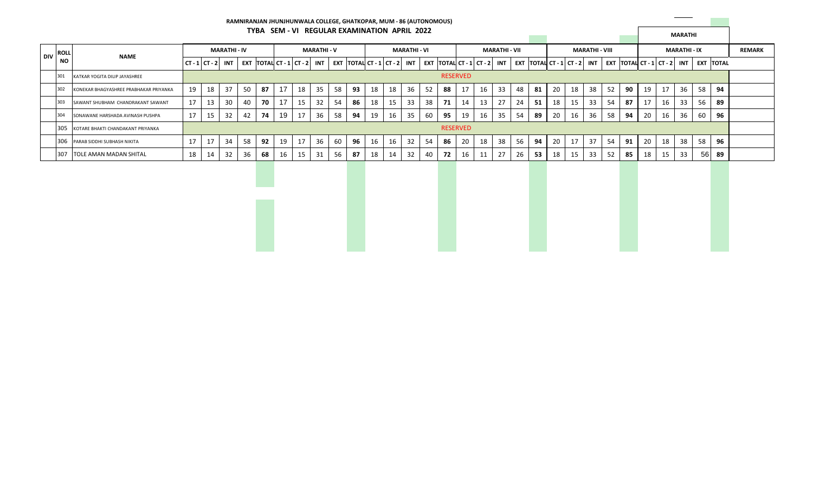### **RAMNIRANJAN JHUNJHUNWALA COLLEGE, GHATKOPAR, MUM - 86 (AUTONOMOUS) TYBA SEM - VI REGULAR EXAMINATION APRIL 2022**

**Contract** 

**Contract** 

| CT - 1   CT - 2    INT<br>37<br>50<br>18<br>87 | EXT  TOTAL CT - 1   CT - 2   INT  <br>17<br>18<br>93<br>35<br>58 | EXT  TOTAL  CT - 1   CT - 2   INT   EXT  TOTAL  CT - 1   CT - 2   INT  <br>18<br>18<br>36<br>52<br>88 | <b>RESERVED</b><br>16<br>33<br>48<br>81<br>17 | EXT TOTAL CT - 1 CT - 2 INT | EXT  TOTAL  CT - 1   CT - 2     INT    <br><b>EXT TOTAL</b> |
|------------------------------------------------|------------------------------------------------------------------|-------------------------------------------------------------------------------------------------------|-----------------------------------------------|-----------------------------|-------------------------------------------------------------|
|                                                |                                                                  |                                                                                                       |                                               |                             |                                                             |
|                                                |                                                                  |                                                                                                       |                                               |                             |                                                             |
|                                                |                                                                  |                                                                                                       |                                               | 38<br>20<br>18<br>52<br>90  | 58<br>94<br>19<br>17<br>36                                  |
| 30<br>13<br>40<br>70                           | 15<br>86<br>32<br>54<br>17                                       | 18<br>15<br>33<br>38<br>71                                                                            | 13<br>27<br>24<br>14<br>51                    | 33<br>18<br>15<br>54<br>87  | 56<br>89<br>16<br>33<br>17                                  |
| 32<br>15<br>42<br>74                           | 94<br>36<br>58<br>19<br>ΨI                                       | 19<br>35<br>60<br>16<br>95                                                                            | 16<br>19<br>35<br>54<br>89                    | 36<br>20<br>16<br>58<br>94  | 96<br>60<br>20<br>16<br>36                                  |
|                                                |                                                                  |                                                                                                       |                                               |                             |                                                             |
| 58<br>17<br>34<br>92                           | 36<br>60<br>96<br>19                                             | 16<br>16<br>32<br>54<br>86                                                                            | 20<br>18<br>38<br>56<br>94                    | 37<br>17<br>20<br>54<br>91  | 58<br>96<br>20<br>18<br>38                                  |
| 32<br>36<br>68<br>14                           | 87<br>15<br>31<br>56<br>16                                       | 32<br>40<br>18<br>14                                                                                  | 27<br>26<br>16<br>11<br>53                    | 33<br>18<br>52<br>15<br>85  | 89<br>56<br>33<br>15<br>18                                  |
|                                                |                                                                  |                                                                                                       |                                               | <b>RESERVED</b><br>72       |                                                             |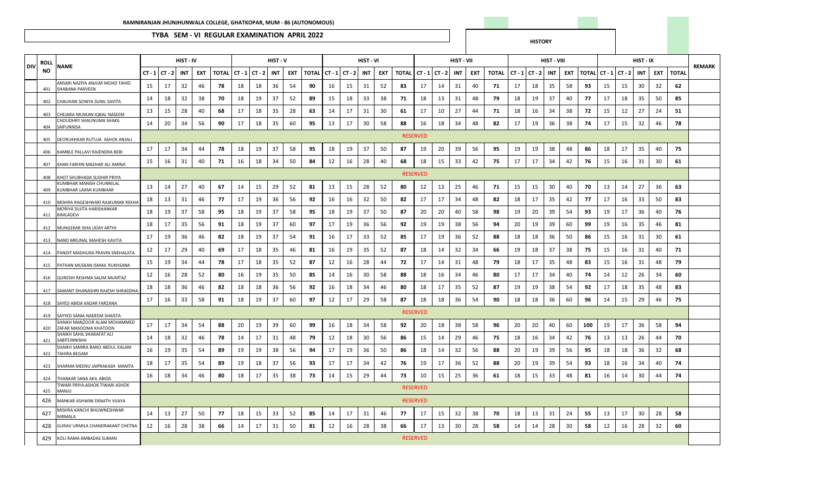|     |             |                                                        |                                                                                                                                                                                               | .                 | ----       |     | $\sim$ Theodern Exponsional Div at the Eugen |          |          |          |     |              |    |                   |           |            |                        |                 |    |            |            |              |    | <b>HISTORY</b>    |             |            |     |    |                            |            |            |              |               |
|-----|-------------|--------------------------------------------------------|-----------------------------------------------------------------------------------------------------------------------------------------------------------------------------------------------|-------------------|------------|-----|----------------------------------------------|----------|----------|----------|-----|--------------|----|-------------------|-----------|------------|------------------------|-----------------|----|------------|------------|--------------|----|-------------------|-------------|------------|-----|----|----------------------------|------------|------------|--------------|---------------|
|     | <b>ROLL</b> |                                                        |                                                                                                                                                                                               |                   | HIST - IV  |     |                                              |          |          | HIST - V |     |              |    |                   | HIST - VI |            |                        |                 |    | HIST - VII |            |              |    |                   | HIST - VIII |            |     |    |                            | HIST - IX  |            |              |               |
| DIV | <b>NO</b>   | <b>NAME</b>                                            |                                                                                                                                                                                               | $CT - 1$ $CT - 2$ | <b>INT</b> | EXT | <b>TOTAL</b>                                 | $CT - 1$ | $CT - 2$ | INT      | EXT | <b>TOTAL</b> |    | $CT - 1$ $CT - 2$ | INT       | <b>EXT</b> | <b>TOTAL CT-1 CT-2</b> |                 |    | <b>INT</b> | <b>EXT</b> | <b>TOTAL</b> |    | $CT - 1$ $CT - 2$ | INT         | <b>EXT</b> |     |    | <b>TOTAL</b> CT - 1 CT - 2 | <b>INT</b> | <b>EXT</b> | <b>TOTAL</b> | <b>REMARK</b> |
|     | 401         | INSARI NAZIYA ANJUM MOHD TAHID<br>SHABANA PARVEEN      | 15                                                                                                                                                                                            | 17                | 32         | 46  | 78                                           | 18       | 18       | 36       | 54  | 90           | 16 | 15                | 31        | 52         | 83                     | 17              | 14 | 31         | 40         | 71           | 17 | 18                | 35          | 58         | 93  | 15 | 15                         | 30         | 32         | 62           |               |
|     | 402         | CHAUHAN SONIYA SUNIL SAVITA                            | 14                                                                                                                                                                                            | 18                | 32         | 38  | 70                                           | 18       | 19       | 37       | 52  | 89           | 15 | 18                | 33        | 38         | 71                     | 18              | 13 | 31         | 48         | 79           | 18 | 19                | 37          | 40         | 77  | 17 | 18                         | 35         | 50         | 85           |               |
|     | 403         | CHEJARA MUSKAN IQBAL NASEEM                            | 13                                                                                                                                                                                            | 15                | 28         | 40  | 68                                           | 17       | 18       | 35       | 28  | 63           | 14 | 17                | 31        | 30         | 61                     | 17              | 10 | 27         | 44         | 71           | 18 | 16                | 34          | 38         | 72  | 15 | 12                         | 27         | 24         | 51           |               |
|     | 404         | CHOUDHRY SHAUNUMA SHAKIL<br>SAIFUNNISA                 | 14                                                                                                                                                                                            | 20                | 34         | 56  | 90                                           | 17       | 18       | 35       | 60  | 95           | 13 | 17                | 30        | 58         | 88                     | 16              | 18 | 34         | 48         | 82           | 17 | 19                | 36          | 38         | 74  | 17 | 15                         | 32         | 46         | 78           |               |
|     | 405         | DEORUKHKAR RUTUJA ASHOK ANJALI                         |                                                                                                                                                                                               |                   |            |     |                                              |          |          |          |     |              |    |                   |           |            |                        | <b>RESERVED</b> |    |            |            |              |    |                   |             |            |     |    |                            |            |            |              |               |
|     | 406         | KAMBLE PALLAVI RAJENDRA BEB                            | 17                                                                                                                                                                                            | 17                | 34         | 44  | 78                                           | 18       | 19       | 37       | 58  | 95           | 18 | 19                | 37        | 50         | 87                     | 19              | 20 | 39         | 56         | 95           | 19 | 19                | 38          | 48         | 86  | 18 | 17                         | 35         | 40         | 75           |               |
|     | 407         | KHAN FARHIN MAZHAR ALI AMINA                           | 15                                                                                                                                                                                            | 16                | 31         | 40  | 71                                           | 16       | 18       | 34       | 50  | 84           | 12 | 16                | 28        | 40         | 68                     | 18              | 15 | 33         | 42         | 75           | 17 | 17                | 34          | 42         | 76  | 15 | 16                         | 31         | 30         | 61           |               |
|     | 408         | KHOT SHUBHADA SUDHIR PRIYA                             | <b>RESERVED</b><br>29<br>52<br>28<br>52<br>25<br>30<br>70<br>13<br>27<br>13<br>27<br>40<br>67<br>15<br>81<br>13<br>15<br>80<br>12<br>13<br>46<br>71<br>15<br>15<br>40<br>14<br>36<br>14<br>14 |                   |            |     |                                              |          |          |          |     |              |    |                   |           |            |                        |                 |    |            |            |              |    |                   |             |            |     |    |                            |            |            |              |               |
|     | 409         | KUMBHAR MANISH CHUNNILAI<br>KUMBHAR LAXMI KUMBHAR      | 77<br>17<br>19<br>32<br>82<br>17<br>17<br>34<br>48<br>82<br>17<br>35<br>42<br>77<br>17<br>16<br>33<br>50<br>18<br>13<br>31<br>46<br>36<br>56<br>92<br>16<br>50<br>18<br>16                    |                   |            |     |                                              |          |          |          |     |              |    |                   |           |            |                        |                 | 63 |            |            |              |    |                   |             |            |     |    |                            |            |            |              |               |
|     | 410         | MISHRA RAGESHWARI RAJKUMAR REKHA                       |                                                                                                                                                                                               |                   |            |     |                                              |          |          |          |     |              |    |                   |           |            |                        |                 | 83 |            |            |              |    |                   |             |            |     |    |                            |            |            |              |               |
|     | 411         | MORIYA SUJITA HARISHANKAR<br><b>BIMLADEVI</b>          | 18<br>58<br>37<br>50<br>87<br>20<br>40<br>58<br>39<br>54<br>19<br>17<br>36<br>40<br>19<br>37<br>58<br>95<br>18<br>19<br>37<br>95<br>18<br>19<br>20<br>98<br>19<br>20<br>93                    |                   |            |     |                                              |          |          |          |     |              |    |                   |           |            |                        |                 | 76 |            |            |              |    |                   |             |            |     |    |                            |            |            |              |               |
|     | 412         | MUNGEKAR ISHA UDAY ARTHI                               | 56<br>18<br>17<br>35<br>56<br>18<br>19<br>37<br>60<br>97<br>17<br>19<br>36<br>56<br>92<br>19<br>19<br>38<br>94<br>20<br>19<br>39<br>60<br>99<br>19<br>16<br>35<br>91                          |                   |            |     |                                              |          |          |          |     |              |    |                   |           |            |                        | 46              | 81 |            |            |              |    |                   |             |            |     |    |                            |            |            |              |               |
|     | 413         | NAND MRUNAL MAHESH KAVITA                              | 17<br>19<br>46<br>82<br>18<br>19<br>37<br>54<br>91<br>17<br>33<br>52<br>85<br>17<br>19<br>36<br>52<br>88<br>18<br>36<br>50<br>86<br>15<br>16<br>31<br>16<br>18<br>36                          |                   |            |     |                                              |          |          |          |     |              |    |                   |           |            |                        | 30              | 61 |            |            |              |    |                   |             |            |     |    |                            |            |            |              |               |
|     | 414         | PANDIT MADHURA PRAVIN SNEHALATA                        | 12                                                                                                                                                                                            | 17                | 29         | 40  | 69                                           | 17       | 18       | 35       | 46  | 81           | 16 | 19                | 35        | 52         | 87                     | 18              | 14 | 32         | 34         | 66           | 19 | 18                | 37          | 38         | 75  | 15 | 16                         | 31         | 40         | 71           |               |
|     | 415         | PATHAN MUSKAN ISMAIL RUKHSANA                          | 15                                                                                                                                                                                            | 19                | 34         | 44  | 78                                           | 17       | 18       | 35       | 52  | 87           | 12 | 16                | 28        | 44         | 72                     | 17              | 14 | 31         | 48         | 79           | 18 | 17                | 35          | 48         | 83  | 15 | 16                         | 31         | 48         | 79           |               |
|     | 416         | QURESHI RESHMA SALIM MUMTAZ                            | 12                                                                                                                                                                                            | 16                | 28         | 52  | 80                                           | 16       | 19       | 35       | 50  | 85           | 14 | 16                | 30        | 58         | 88                     | 18              | 16 | 34         | 46         | 80           | 17 | 17                | 34          | 40         | 74  | 14 | 12                         | 26         | 34         | 60           |               |
|     | 417         | SAWANT DHANASHRI RAJESH SHRADDHA                       | 18                                                                                                                                                                                            | 18                | 36         | 46  | 82                                           | 18       | 18       | 36       | 56  | 92           | 16 | 18                | 34        | 46         | 80                     | 18              | 17 | 35         | 52         | 87           | 19 | 19                | 38          | 54         | 92  | 17 | 18                         | 35         | 48         | 83           |               |
|     | 418         | SAYED ABIDA KADAR FARZANA                              | 17                                                                                                                                                                                            | 16                | 33         | 58  | 91                                           | 18       | 19       | 37       | 60  | 97           | 12 | 17                | 29        | 58         | 87                     | 18              | 18 | 36         | 54         | 90           | 18 | 18                | 36          | 60         | 96  | 14 | 15                         | 29         | 46         | 75           |               |
|     | 419         | SAYYED SANIA NADEEM SHAISTA                            |                                                                                                                                                                                               |                   |            |     |                                              |          |          |          |     |              |    |                   |           |            |                        | <b>RESERVED</b> |    |            |            |              |    |                   |             |            |     |    |                            |            |            |              |               |
|     | 420         | SHAIKH MANZOOR ALAM MOHAMMED<br>ZAFAR MASOOMA KHATOON  | 17                                                                                                                                                                                            | 17                | 34         | 54  | 88                                           | 20       | 19       | 39       | 60  | 99           | 16 | 18                | 34        | 58         | 92                     | 20              | 18 | 38         | 58         | 96           | 20 | 20                | 40          | 60         | 100 | 19 | 17                         | 36         | 58         | 94           |               |
|     | 421         | SHAIKH SAHIL SHARAFAT ALI<br>SABITUNNISHA              | 14                                                                                                                                                                                            | 18                | 32         | 46  | 78                                           | 14       | 17       | 31       | 48  | 79           | 12 | 18                | 30        | 56         | 86                     | 15              | 14 | 29         | 46         | 75           | 18 | 16                | 34          | 42         | 76  | 13 | 13                         | 26         | 44         | 70           |               |
|     | 422         | SHAIKH SAMIRA BANO ABDUL KALAM<br>TAHIRA BEGAM         | 16                                                                                                                                                                                            | 19                | 35         | 54  | 89                                           | 19       | 19       | 38       | 56  | 94           | 17 | 19                | 36        | 50         | 86                     | 18              | 14 | 32         | 56         | 88           | 20 | 19                | 39          | 56         | 95  | 18 | 18                         | 36         | 32         | 68           |               |
|     | 423         | SHARMA MEENU JAIPRAKASH MAMTA                          | 18                                                                                                                                                                                            | 17                | 35         | 54  | 89                                           | 19       | 18       | 37       | 56  | 93           | 17 | 17                | 34        | 42         | 76                     | 19              | 17 | 36         | 52         | 88           | 20 | 19                | 39          | 54         | 93  | 18 | 16                         | 34         | 40         | 74           |               |
|     | 424         | THANKAR SANA AKIL ABIDA                                | 16                                                                                                                                                                                            | 18                | 34         | 46  | 80                                           | 18       | 17       | 35       | 38  | 73           | 14 | 15                | 29        | 44         | 73                     | 10              | 15 | 25         | 36         | 61           | 18 | 15                | 33          | 48         | 81  | 16 | 14                         | 30         | 44         | 74           |               |
|     | 425         | <b>TIWARI PRIYA.ASHOK.TIWARI ASHOK</b><br><b>MANJU</b> |                                                                                                                                                                                               |                   |            |     |                                              |          |          |          |     |              |    |                   |           |            |                        | <b>RESERVED</b> |    |            |            |              |    |                   |             |            |     |    |                            |            |            |              |               |
|     | 426         | MANKAR ASHWINI EKNATH VIJAYA                           |                                                                                                                                                                                               |                   |            |     |                                              |          |          |          |     |              |    |                   |           |            |                        | <b>RESERVED</b> |    |            |            |              |    |                   |             |            |     |    |                            |            |            |              |               |
|     | 427         | VIISHRA KANCHI BHUWNESHWAR<br>NIRMALA                  | 14                                                                                                                                                                                            | 13                | 27         | 50  | 77                                           | 18       | 15       | 33       | 52  | 85           | 14 | 17                | 31        | 46         | 77                     | 17              | 15 | 32         | 38         | 70           | 18 | 13                | 31          | 24         | 55  | 13 | 17                         | 30         | 28         | 58           |               |
|     | 428         | GURAV URMILA CHANDRAKANT CHETNA                        | 12                                                                                                                                                                                            | 16                | 28         | 38  | 66                                           | 14       | 17       | 31       | 50  | 81           | 12 | 16                | 28        | 38         | 66                     | 17              | 13 | 30         | 28         | 58           | 14 | 14                | 28          | 30         | 58  | 12 | 16                         | 28         | 32         | 60           |               |
|     | 429         | KOLI RAMA AMBADAS SUMAN                                |                                                                                                                                                                                               |                   |            |     |                                              |          |          |          |     |              |    |                   |           |            |                        | <b>RESERVED</b> |    |            |            |              |    |                   |             |            |     |    |                            |            |            |              |               |

#### **TYBA SEM - VI REGULAR EXAMINATION APRIL 2022**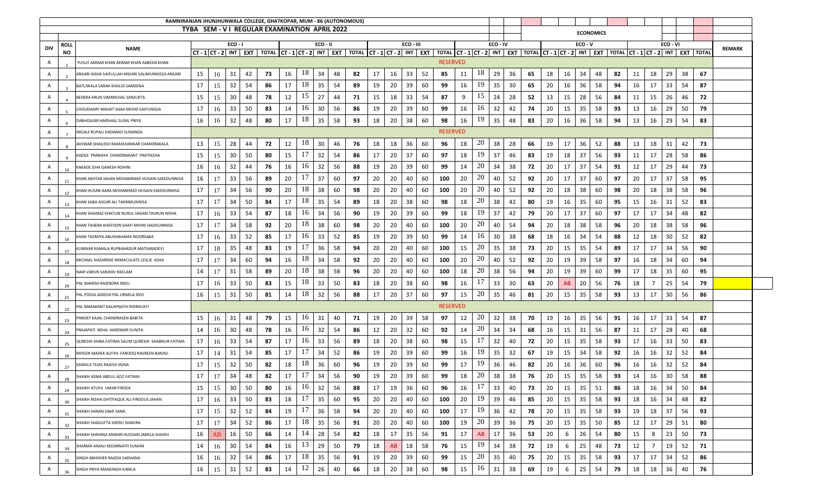|                |             |                                                   |    |    |           |    |                                                           |    |    | RAMNIRANJAN JHUNJHUNWALA COLLEGE, GHATKOPAR, MUM - 86 (AUTONOMOUS) |                             |    |    |           |    |                                                                                                             |    |     |          |    |    |    |    |                  |    |    |    |                |          |    |    |               |
|----------------|-------------|---------------------------------------------------|----|----|-----------|----|-----------------------------------------------------------|----|----|--------------------------------------------------------------------|-----------------------------|----|----|-----------|----|-------------------------------------------------------------------------------------------------------------|----|-----|----------|----|----|----|----|------------------|----|----|----|----------------|----------|----|----|---------------|
|                |             |                                                   |    |    |           |    |                                                           |    |    | TYBA SEM - V I REGULAR EXAMINATION APRIL 2022                      |                             |    |    |           |    |                                                                                                             |    |     |          |    |    |    |    | <b>ECONOMICS</b> |    |    |    |                |          |    |    |               |
| DIV            | <b>ROLI</b> | <b>NAME</b>                                       |    |    | $ECO - I$ |    |                                                           |    |    | ECO - II                                                           |                             |    |    | ECO - III |    |                                                                                                             |    |     | ECO - IV |    |    |    |    | ECO - V          |    |    |    |                | ECO - VI |    |    | <b>REMARK</b> |
|                | NO          |                                                   |    |    |           |    | $ CT - 1 CT - 2 $ INT $ EXT $ TOTAL $ CT - 1 CT - 2 $ INT |    |    | <b>EXT</b>                                                         | TOTAL CT - 1 CT - 2 INT EXT |    |    |           |    | TOTAL CT - 1 CT - 2   INT   EXT   TOTAL CT - 1 CT - 2   INT   EXT   TOTAL CT - 1 CT - 2   INT   EXT   TOTAL |    |     |          |    |    |    |    |                  |    |    |    |                |          |    |    |               |
| A              |             | YUSUF AKRAM KHAN AKRAM KHAN AABEDA KHAN           |    |    |           |    |                                                           |    |    |                                                                    |                             |    |    |           |    | <b>RESERVED</b>                                                                                             |    |     |          |    |    |    |    |                  |    |    |    |                |          |    |    |               |
| A              |             | ANSARI AISHA SAIFULLAH ANSARI SALIMUNNISSA ANSARI | 15 | 16 | 31        | 42 | 73                                                        | 16 | 18 | 34<br>48                                                           | 82                          | 17 | 16 | 33        | 52 | 85                                                                                                          | 11 | 18  | 29       | 36 | 65 | 18 | 16 | 34               | 48 | 82 | 11 | 18             | 29       | 38 | 67 |               |
| A              |             | BATLIWALA SARAH KHALID SAMEENA                    | 17 | 15 | 32        | 54 | 86                                                        | 17 | 18 | 35<br>54                                                           | 89                          | 19 | 20 | 39        | 60 | 99                                                                                                          | 16 | -19 | 35       | 30 | 65 | 20 | 16 | 36               | 58 | 94 | 16 | 17             | 33       | 54 | 87 |               |
| A              | 4           | BEHERA ARUN SIMANCHAL SANJUKTA                    | 15 | 15 | 30        | 48 | 78                                                        | 12 | 15 | 27<br>44                                                           | 71                          | 15 | 18 | 33        | 54 | 87                                                                                                          | 9  | 15  | 24       | 28 | 52 | 13 | 15 | 28               | 56 | 84 | 11 | 15             | 26       | 46 | 72 |               |
| A              |             | CHOUDHARY NIKHAT SHAH MOHD SAIFUNISSA             | 17 | 16 | 33        | 50 | 83                                                        | 14 | 16 | 30<br>56                                                           | 86                          | 19 | 20 | 39        | 60 | 99                                                                                                          | 16 | 16  | 32       | 42 | 74 | 20 | 15 | 35               | 58 | 93 | 13 | 16             | 29       | 50 | 79 |               |
| Α              |             | DABHOLKAR HARSHALI SUNIL PRIYA                    | 16 | 16 | 32        | 48 | 80                                                        | 17 | 18 | 35<br>58                                                           | 93                          | 18 | 20 | 38        | 60 | 98                                                                                                          | 16 | 19  | 35       | 48 | 83 | 20 | 16 | 36               | 58 | 94 | 13 | 16             | 29       | 54 | 83 |               |
| A              |             | INGALE RUPALI DADARAO SUNANDA                     |    |    |           |    |                                                           |    |    |                                                                    |                             |    |    |           |    | <b>RESERVED</b>                                                                                             |    |     |          |    |    |    |    |                  |    |    |    |                |          |    |    |               |
| A              |             | JAISWAR SHAILESH RAMASHANKAR CHANDRAKALA          | 13 | 15 | 28        | 44 | 72                                                        | 12 | 18 | 30<br>46                                                           | 76                          | 18 | 18 | 36        | 60 | 96                                                                                                          | 18 | 20  | 38       | 28 | 66 | 19 | 17 | 36               | 52 | 88 | 13 | 18             | 31       | 42 | 73 |               |
| A              | 9           | KADGE PRANAYA CHANDRAKANT PRATIKSHA               | 15 | 15 | 30        | 50 | 80                                                        | 15 | 17 | 32<br>54                                                           | 86                          | 17 | 20 | 37        | 60 | 97                                                                                                          | 18 | 19  | 37       | 46 | 83 | 19 | 18 | 37               | 56 | 93 | 11 | 17             | 28       | 58 | 86 |               |
| A              | 10          | AKADE ISHA GANESH ROHINI                          | 16 | 16 | 32        | 44 | 76                                                        | 16 | 16 | 32<br>56                                                           | 88                          | 19 | 20 | 39        | 60 | 99                                                                                                          | 14 | 20  | 34       | 38 | 72 | 20 | 17 | 37               | 54 | 91 | 12 | 17             | 29       | 44 | 73 |               |
| Α              | 11          | HAN AKHTAR JAHAN MOHAMMAD HUSAIN SAEEDUNNISA      | 16 | 17 | 33        | 56 | 89                                                        | 20 | 17 | 37<br>60                                                           | 97                          | 20 | 20 | 40        | 60 | 100                                                                                                         | 20 | 20  | 40       | 52 | 92 | 20 | 17 | 37               | 60 | 97 | 20 | 17             | 37       | 58 | 95 |               |
| A              | 12          | HAN HUSAN AARA MOHAMMED HUSAIN SAEEDUNNISA        | 17 | 17 | 34        | 56 | 90                                                        | 20 | 18 | 38<br>60                                                           | 98                          | 20 | 20 | 40        | 60 | 100                                                                                                         | 20 | 20  | 40       | 52 | 92 | 20 | 18 | 38               | 60 | 98 | 20 | 18             | 38       | 58 | 96 |               |
| A              | 13          | HAN SABA ASGAR ALI TAKRIMUNNISA                   | 17 | 17 | 34        | 50 | 84                                                        | 17 | 18 | 35<br>54                                                           | 89                          | 18 | 20 | 38        | 60 | 98                                                                                                          | 18 | 20  | 38       | 42 | 80 | 19 | 16 | 35               | 60 | 95 | 15 | 16             | 31       | 52 | 83 |               |
| A              | 14          | HAN SHAINAZ KHATUN NURUL HASAN TAVRUN NISHA       | 17 | 16 | 33        | 54 | 87                                                        | 18 | 16 | 34<br>56                                                           | 90                          | 19 | 20 | 39        | 60 | 99                                                                                                          | 18 | 19  | 37       | 42 | 79 | 20 | 17 | 37               | 60 | 97 | 17 | 17             | 34       | 48 | 82 |               |
| A              | 15          | HAN TAHERA KHATOON SHAFI MOHD HADISUNNISA         | 17 | 17 | 34        | 58 | 92                                                        | 20 | 18 | 38<br>60                                                           | 98                          | 20 | 20 | 40        | 60 | 100                                                                                                         | 20 | 20  | 40       | 54 | 94 | 20 | 18 | 38               | 58 | 96 | 20 | 18             | 38       | 58 | 96 |               |
| A              | 16          | HAN TASMIYA ABUSHAHAMA NOORSABA                   | 17 | 16 | 33        | 52 | 85                                                        | 17 | 16 | 33<br>52                                                           | 85                          | 19 | 20 | 39        | 60 | 99                                                                                                          | 14 | 16  | 30       | 38 | 68 | 18 | 16 | 34               | 54 | 88 | 12 | 18             | 30       | 52 | 82 |               |
| A              | 17          | UNWAR KAMALA RUPBAHADUR MATSARADEVI               | 17 | 18 | 35        | 48 | 83                                                        | 19 | 17 | 36<br>58                                                           | 94                          | 20 | 20 | 40        | 60 | 100                                                                                                         | 15 | 20  | 35       | 38 | 73 | 20 | 15 | 35               | 54 | 89 | 17 | 17             | 34       | 56 | 90 |               |
| A              | 18          | AICHAEL NAZARENE IMMACULATE LESLIE ASHA           | 17 | 17 | 34        | 60 | 94                                                        | 16 | 18 | 34<br>58                                                           | 92                          | 20 | 20 | 40        | 60 | 100                                                                                                         | 20 | 20  | 40       | 52 | 92 | 20 | 19 | 39               | 58 | 97 | 16 | 18             | 34       | 60 | 94 |               |
| A              | 19          | AIR VARUN SANJEEV NEELAM                          | 14 | 17 | 31        | 58 | 89                                                        | 20 | 18 | 38<br>58                                                           | 96                          | 20 | 20 | 40        | 60 | 100                                                                                                         | 18 | 20  | 38       | 56 | 94 | 20 | 19 | 39               | 60 | 99 | 17 | 18             | 35       | 60 | 95 |               |
| A              | 20          | AL MANISH RAJENDRA INDU                           | 17 | 16 | 33        | 50 | 83                                                        | 15 | 18 | 33<br>50                                                           | 83                          | 18 | 20 | 38        | 60 | 98                                                                                                          | 16 | 17  | 33       | 30 | 63 | 20 | AB | 20               | 56 | 76 | 18 | 7              | 25       | 54 | 79 |               |
| A              | 21          | PAL POOJA JAIKESH PAL URMILA DEVI                 | 16 | 15 | 31        | 50 | 81                                                        | 14 | 18 | 32<br>56                                                           | 88                          | 17 | 20 | 37        | 60 | 97                                                                                                          | 15 | 20  | 35       | 46 | 81 | 20 | 15 | 35               | 58 | 93 | 13 | 17             | 30       | 56 | 86 |               |
| A              | 22          | AL RAMAKANT KALAPNATH INDRAVATI                   |    |    |           |    |                                                           |    |    |                                                                    |                             |    |    |           |    | <b>RESERVED</b>                                                                                             |    |     |          |    |    |    |    |                  |    |    |    |                |          |    |    |               |
| A              | 23          | ANDEY KAJAL CHANDRASEN BABITA                     | 15 | 16 | 31        | 48 | 79                                                        | 15 | 16 | 31<br>40                                                           | 71                          | 19 | 20 | 39        | 58 | 97                                                                                                          | 12 | 20  | 32       | 38 | 70 | 19 | 16 | 35               | 56 | 91 | 16 | 17             | 33       | 54 | 87 |               |
| A              | 24          | RAJAPATI NEHA HARDWAR SUNITA                      | 14 | 16 | 30        | 48 | 78                                                        | 16 | 16 | 32<br>54                                                           | 86                          | 12 | 20 | 32        | 60 | 92                                                                                                          | 14 | 20  | 34       | 34 | 68 | 16 | 15 | 31               | 56 | 87 | 11 | 17             | 28       | 40 | 68 |               |
| A              | 25          | URESHI SHIBA FATIMA SALIM QURESHI SHABNUR FATIMA  | 17 | 16 | 33        | 54 | 87                                                        | 17 | 16 | 33<br>56                                                           | 89                          | 18 | 20 | 38        | 60 | 98                                                                                                          | 15 | 17  | 32       | 40 | 72 | 20 | 15 | 35               | 58 | 93 | 17 | 16             | 33       | 50 | 83 |               |
| A              | 26          | RAYEEN MAHEK ALFIYA FAROOQ NASREEN BANAO          | 17 | 14 | 31        | 54 | 85                                                        | 17 | 17 | 34<br>52                                                           | 86                          | 19 | 20 | 39        | 60 | 99                                                                                                          | 16 | 19  | 35       | 32 | 67 | 19 | 15 | 34               | 58 | 92 | 16 | 16             | 32       | 52 | 84 |               |
| Α              | 27          | SAWALA TEJAS RAJESH JIGNA                         | 17 | 15 | 32        | 50 | 82                                                        | 18 | 18 | 36<br>60                                                           | 96                          | 19 | 20 | 39        | 60 | 99                                                                                                          | 17 | 19  | 36       | 46 | 82 | 20 | 16 | 36               | 60 | 96 | 16 | 16             | 32       | 52 | 84 |               |
| $\overline{A}$ | 28          | SHAIKH ASMA ABDUL AZIZ FATIMA                     | 17 | 17 | 34        | 48 | 82                                                        | 17 | 17 | 34<br>56                                                           | 90                          | 19 | 20 | 39        | 60 | 99                                                                                                          | 18 | 20  | 38       | 38 | 76 | 20 | 15 | 35               | 58 | 93 | 14 | 16             | 30       | 58 | 88 |               |
| A              | 29          | SHAIKH ATUFA UMAR FIROZA                          | 15 | 15 | 30        | 50 | 80                                                        | 16 | 16 | 32<br>56                                                           | 88                          | 17 | 19 | 36        | 60 | 96                                                                                                          | 16 | 17  | 33       | 40 | 73 | 20 | 15 | 35               | 51 | 86 | 18 | 16             | 34       | 50 | 84 |               |
| A              | 30          | SHAIKH NISHA ISHTIYAQUE ALI FIRDOUS JAHAN         | 17 | 16 | 33        | 50 | 83                                                        | 18 | 17 | 35<br>60                                                           | 95                          | 20 | 20 | 40        | 60 | 100                                                                                                         | 20 | 19  | 39       | 46 | 85 | 20 | 15 | 35               | 58 | 93 | 18 | 16             | 34       | 48 | 82 |               |
| A              | 31          | SHAIKH SANAN SAMI SANA                            | 17 | 15 | 32        | 52 | 84                                                        | 19 | 17 | 36<br>58                                                           | 94                          | 20 | 20 | 40        | 60 | 100                                                                                                         | 17 | 19  | 36       | 42 | 78 | 20 | 15 | 35               | 58 | 93 | 19 | 18             | 37       | 56 | 93 |               |
| A              | 32          | SHAIKH SHAGUFTA SHERU SHAKIRA                     | 17 | 17 | 34        | 52 | 86                                                        | 17 | 18 | 35<br>56                                                           | 91                          | 20 | 20 | 40        | 60 | 100                                                                                                         | 19 | 20  | 39       | 36 | 75 | 20 | 15 | 35               | 50 | 85 | 12 | 17             | 29       | 51 | 80 |               |
| A              | 33          | SHAIKH SHAHINA ANWAR HUSSAIN JAMILA SHAIKH        | 16 | AB | 16        | 50 | 66                                                        | 14 | 14 | 28<br>54                                                           | 82                          | 18 | 17 | 35        | 56 | 91                                                                                                          | 17 | AB  | 17       | 36 | 53 | 20 | 6  | 26               | 54 | 80 | 15 | 8              | 23       | 50 | 73 |               |
| A              | 34          | SHARMA ANJALI KEDARNATH SUMAN                     | 14 | 16 | 30        | 54 | 84                                                        | 16 | 13 | 29<br>50                                                           | 79                          | 18 | AB | 18        | 58 | 76                                                                                                          | 15 | 19  | 34       | 38 | 72 | 19 | 6  | 25               | 48 | 73 | 12 | $\overline{7}$ | 19       | 52 | 71 |               |
| A              | 35          | SINGH ABHISHEK RAJESH SADHANA                     | 16 | 16 | 32        | 54 | 86                                                        | 17 | 18 | 35<br>56                                                           | 91                          | 19 | 20 | 39        | 60 | 99                                                                                                          | 15 | 20  | 35       | 40 | 75 | 20 | 15 | 35               | 58 | 93 | 17 | 17             | 34       | 52 | 86 |               |
| A              | 36          | SINGH PRIYA MANSINGH KAMLA                        | 16 | 15 | 31        | 52 | 83                                                        | 14 | 12 | 26<br>40                                                           | 66                          | 18 | 20 | 38        | 60 | 98                                                                                                          | 15 | 16  | 31       | 38 | 69 | 19 | 6  | 25               | 54 | 79 | 18 | 18             | 36       | 40 | 76 |               |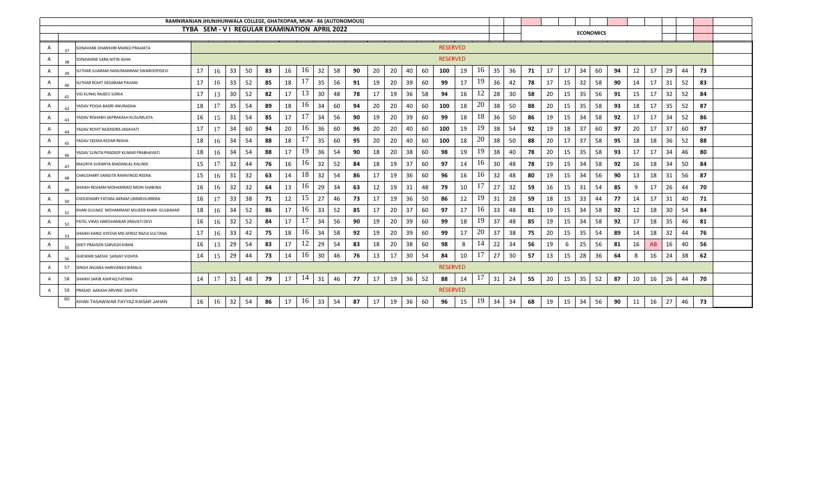|   |    | RAMNIRANJAN JHUNJHUNWALA COLLEGE, GHATKOPAR, MUM - 86 (AUTONOMOUS) |                                                                                     |    |    |    |    |    |    |    |    |    |    |    |    |    |                 |    |    |    |     |    |                  |    |    |    |    |    |    |    |    |    |  |
|---|----|--------------------------------------------------------------------|-------------------------------------------------------------------------------------|----|----|----|----|----|----|----|----|----|----|----|----|----|-----------------|----|----|----|-----|----|------------------|----|----|----|----|----|----|----|----|----|--|
|   |    |                                                                    | TYBA SEM - V I REGULAR EXAMINATION APRIL 2022<br><b>RESERVED</b><br><b>RESERVED</b> |    |    |    |    |    |    |    |    |    |    |    |    |    |                 |    |    |    |     |    | <b>ECONOMICS</b> |    |    |    |    |    |    |    |    |    |  |
|   |    |                                                                    |                                                                                     |    |    |    |    |    |    |    |    |    |    |    |    |    |                 |    |    |    |     |    |                  |    |    |    |    |    |    |    |    |    |  |
| Α | 37 | SONAVANE DHANSHRI MANOJ PRAJAKTA                                   |                                                                                     |    |    |    |    |    |    |    |    |    |    |    |    |    |                 |    |    |    |     |    |                  |    |    |    |    |    |    |    |    |    |  |
| Α | 38 | SONAWANE SARA NITIN ASHA                                           |                                                                                     |    |    |    |    |    |    |    |    |    |    |    |    |    |                 |    |    |    |     |    |                  |    |    |    |    |    |    |    |    |    |  |
| Α | 39 | SUTHAR JUJARAM HANUMANRAM SWAROOPIDEVI                             | 17                                                                                  | 16 | 33 | 50 | 83 | 16 | 16 | 32 | 58 | 90 | 20 | 20 | 40 | 60 | 100             | 19 | 16 | 35 | 36  | 71 | 17               | 17 | 34 | 60 | 94 | 12 | 17 | 29 | 44 | 73 |  |
| A | 40 | SUTHAR ROHIT DEDARAM PAVANI                                        | 17                                                                                  | 16 | 33 | 52 | 85 | 18 |    | 35 | 56 | 91 | 19 | 20 | 39 | 60 | 99              | 17 | 19 | 36 | 42  | 78 | 17               | 15 | 32 | 58 | 90 | 14 | 17 | 31 | 52 | 83 |  |
| Α | 41 | VIG KUNAL RAJEEV SONIA                                             | 17                                                                                  | 13 | 30 | 52 | 82 | 17 | 13 | 30 | 48 | 78 | 17 | 19 | 36 | 58 | 94              | 16 | 12 | 28 | 30  | 58 | 20               | 15 | 35 | 56 | 91 | 15 | 17 | 32 | 52 | 84 |  |
| A | 42 | YADAV POOJA BADRI ANURADHA                                         | 18                                                                                  | 17 | 35 | 54 | 89 | 18 | 16 | 34 | 60 | 94 | 20 | 20 | 40 | 60 | 100             | 18 | 20 | 38 | 50  | 88 | 20               | 15 | 35 | 58 | 93 | 18 | 17 | 35 | 52 | 87 |  |
| Α | 43 | YADAV RISHABH JAIPRAKASH KUSUMLATA                                 | 16                                                                                  | 15 | 31 | 54 | 85 | 17 | 17 | 34 | 56 | 90 | 19 | 20 | 39 | 60 | 99              | 18 | 18 | 36 | 50  | 86 | 19               | 15 | 34 | 58 | 92 | 17 | 17 | 34 | 52 | 86 |  |
| A | 44 | YADAV ROHIT RAJENDRA JADAVATI                                      | 17                                                                                  | 17 | 34 | 60 | 94 | 20 | 16 | 36 | 60 | 96 | 20 | 20 | 40 | 60 | 100             | 19 | 19 | 38 | -54 | 92 | 19               | 18 | 37 | 60 | 97 | 20 | 17 | 37 | 60 | 97 |  |
| Α | 45 | YADAV SEEMA KEDAR REKHA                                            | 18                                                                                  | 16 | 34 | 54 | 88 | 18 |    | 35 | 60 | 95 | 20 | 20 | 40 | 60 | 100             | 18 | 20 | 38 | 50  | 88 | 20               | 17 | 37 | 58 | 95 | 18 | 18 | 36 | 52 | 88 |  |
| Α | 46 | YADAV SUNITA PRADEEP KUMAR PRABHAVATI                              | 18                                                                                  | 16 | 34 | 54 | 88 | 17 | 19 | 36 | 54 | 90 | 18 | 20 | 38 | 60 | 98              | 19 | 19 | 38 | 40  | 78 | 20               | 15 | 35 | 58 | 93 | 17 | 17 | 34 | 46 | 80 |  |
| Α | 47 | MAURYA SUKANYA MADANLAL KALINDI                                    | 15                                                                                  | 17 | 32 | 44 | 76 | 16 | 16 | 32 | 52 | 84 | 18 | 19 | 37 | 60 | 97              | 14 | 16 | 30 | 48  | 78 | 19               | 15 | 34 | 58 | 92 | 16 | 18 | 34 | 50 | 84 |  |
| Α | 48 | CHAUDHARY SANGITA RAMVINOD REENA                                   | 15                                                                                  | 16 | 31 | 32 | 63 | 14 | 18 | 32 | 54 | 86 | 17 | 19 | 36 | 60 | 96              | 16 | 16 | 32 | 48  | 80 | 19               | 15 | 34 | 56 | 90 | 13 | 18 | 31 | 56 | 87 |  |
| Α | 49 | SHAIKH RESHAM MOHAMMED MOIN SHABINA                                | 16                                                                                  | 16 | 32 | 32 | 64 | 13 | 16 | 29 | 34 | 63 | 12 | 19 | 31 | 48 | 79              | 10 | 17 | 27 | 32  | 59 | 16               | 15 | 31 | 54 | 85 | 9  | 17 | 26 | 44 | 70 |  |
| Α | 50 | CHOUDHARY FATIMA AKRAM UMMEHURRERA                                 | 16                                                                                  | 17 | 33 | 38 | 71 | 12 | 15 | 27 | 46 | 73 | 17 | 19 | 36 | 50 | 86              | 12 | 19 | 31 | 28  | 59 | 18               | 15 | 33 | 44 | 77 | 14 | 17 | 31 | 40 | 71 |  |
| Α | 51 | KHAN GULNAZ MOHAMMAD MUJEEB KHAN GULBAHAR                          | 18                                                                                  | 16 | 34 | 52 | 86 | 17 | 16 | 33 | 52 | 85 | 17 | 20 | 37 | 60 | 97              | 17 | 16 | 33 | 48  | 81 | 19               | 15 | 34 | 58 | 92 | 12 | 18 | 30 | 54 | 84 |  |
| Α | 52 | PATEL VIKAS HARISHANKAR JIRAVATI DEVI                              | 16                                                                                  | 16 | 32 | 52 | 84 | 17 |    | 34 | 56 | 90 | 19 | 20 | 39 | 60 | 99              | 18 | 19 | 37 | 48  | 85 | 19               | 15 | 34 | 58 | 92 | 17 | 18 | 35 | 46 | 81 |  |
| A | 53 | SHAIKH KANIZ AYESHA MD AFROZ RAZIA SULTANA                         | 17                                                                                  | 16 | 33 | 42 | 75 | 18 | 16 | 34 | 58 | 92 | 19 | 20 | 39 | 60 | 99              | 17 | 20 | 37 | 38  | 75 | 20               | 15 | 35 | 54 | 89 | 14 | 18 | 32 | 44 | 76 |  |
| A | 55 | DIXIT PRAVEEN SARVESH KIRAN                                        | 16                                                                                  | 13 | 29 | 54 | 83 | 17 | 12 | 29 | 54 | 83 | 18 | 20 | 38 | 60 | 98              | 8  | 14 | 22 | 34  | 56 | 19               | 6  | 25 | 56 | 81 | 16 | AB | 16 | 40 | 56 |  |
| A | 56 | GHEWARI SAKSHI SANJAY VIDHYA                                       | 14                                                                                  | 15 | 29 | 44 | 73 | 14 | 16 | 30 | 46 | 76 | 13 | 17 | 30 | 54 | 84              | 10 | 17 | 27 | 30  | 57 | 13               | 15 | 28 | 36 | 64 | 8  | 16 | 24 | 38 | 62 |  |
| Α | 57 | SINGH ANJANA HARIVANSH BIMALA                                      |                                                                                     |    |    |    |    |    |    |    |    |    |    |    |    |    | <b>RESERVED</b> |    |    |    |     |    |                  |    |    |    |    |    |    |    |    |    |  |
| Α | 58 | SHAIKH SAKIB ASHFAQ FATIMA                                         | 14                                                                                  | 17 | 31 | 48 | 79 | 17 | 14 | 31 | 46 | 77 | 17 | 19 | 36 | 52 | 88              | 14 | 17 | 31 | 24  | 55 | 20               | 15 | 35 | 52 | 87 | 10 | 16 | 26 | 44 | 70 |  |
| Α | 59 | PRASAD AAKASH ARVIND SAVITA                                        |                                                                                     |    |    |    |    |    |    |    |    |    |    |    |    |    | <b>RESERVED</b> |    |    |    |     |    |                  |    |    |    |    |    |    |    |    |    |  |
|   | 60 | KHAN TASAWWAR FAYYAZ KAISAR JAHAN                                  | 16                                                                                  | 16 | 32 | 54 | 86 | 17 | 16 | 33 | 54 | 87 | 17 | 19 | 36 | 60 | 96              | 15 | 19 | 34 | 34  | 68 | 19               | 15 | 34 | 56 | 90 | 11 | 16 | 27 | 46 | 73 |  |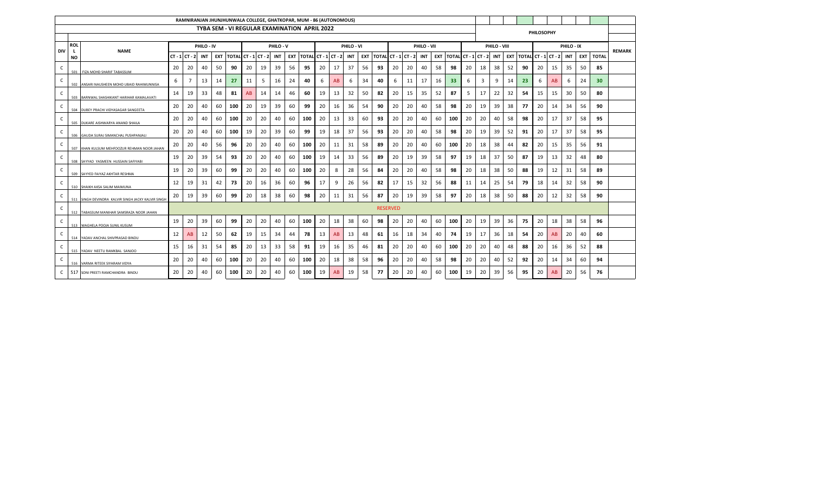|              |            |                                                |                                                                                                                                                                                                                                                                                                                            |    |    |    | RAMNIRANJAN JHUNJHUNWALA COLLEGE, GHATKOPAR, MUM - 86 (AUTONOMOUS) |    |    |    |    |     |     |    |    |    |    |                 |    |    |    |     |    |    |    |    |     |    |    |    |     |              |               |
|--------------|------------|------------------------------------------------|----------------------------------------------------------------------------------------------------------------------------------------------------------------------------------------------------------------------------------------------------------------------------------------------------------------------------|----|----|----|--------------------------------------------------------------------|----|----|----|----|-----|-----|----|----|----|----|-----------------|----|----|----|-----|----|----|----|----|-----|----|----|----|-----|--------------|---------------|
|              |            |                                                | TYBA SEM - VI REGULAR EXAMINATION APRIL 2022<br><b>PHILOSOPHY</b>                                                                                                                                                                                                                                                          |    |    |    |                                                                    |    |    |    |    |     |     |    |    |    |    |                 |    |    |    |     |    |    |    |    |     |    |    |    |     |              |               |
|              |            |                                                | PHILO - IV<br>PHILO - V<br>PHILO - VI<br>PHILO - VII<br>PHILO - VIII<br>PHILO - IX<br>$CT - 1$ $CT - 2$<br>TOTAL CT - 1 CT - 2<br><b>TOTAL CT - 1 CT - 2</b><br>TOTAL CT - 1 CT - 2<br><b>TOTAL</b> CT - 1<br>EXT<br>TOTAL CT - 1 CT - 2<br>EXT<br>INT<br>EXT<br>INT<br>EXT<br>EXT<br>$CT - 2$<br>INT<br>INT<br>INT<br>INT |    |    |    |                                                                    |    |    |    |    |     |     |    |    |    |    |                 |    |    |    |     |    |    |    |    |     |    |    |    |     |              |               |
|              | <b>ROL</b> | <b>NAME</b>                                    |                                                                                                                                                                                                                                                                                                                            |    |    |    |                                                                    |    |    |    |    |     |     |    |    |    |    |                 |    |    |    |     |    |    |    |    |     |    |    |    |     |              | <b>REMARK</b> |
| <b>DIV</b>   | NO         |                                                |                                                                                                                                                                                                                                                                                                                            |    |    |    |                                                                    |    |    |    |    |     |     |    |    |    |    |                 |    |    |    |     |    |    |    |    |     |    |    |    | EXT | <b>TOTAL</b> |               |
| C.           | 501        | FIZA MOHD SHARIF TABASSUM                      | 20                                                                                                                                                                                                                                                                                                                         | 20 | 40 | 50 | 90                                                                 | 20 | 19 | 39 | 56 | 95  | 20  | 17 | 37 | 56 | 93 | 20              | 20 | 40 | 58 | 98  | 20 | 18 | 38 | 52 | 90  | 20 | 15 | 35 | 50  | 85           |               |
| C            | 502        | ANSARI NAUSHEEN MOHD UBAID RAHIMUNNISA         | 6                                                                                                                                                                                                                                                                                                                          | 7  | 13 | 14 | 27                                                                 | 11 | 5  | 16 | 24 | 40  | 6   | AB | 6  | 34 | 40 | 6               | 11 | 17 | 16 | 33  | 6  | 3  | 9  | 14 | 23  | 6  | AB | 6  | 24  | 30           |               |
| C            |            | 503 BARNWAL SHASHIKANT HARIHAR KAMALAVATI      | 14                                                                                                                                                                                                                                                                                                                         | 19 | 33 | 48 | 81                                                                 | AB | 14 | 14 | 46 | 60  | 19  | 13 | 32 | 50 | 82 | 20              | 15 | 35 | 52 | 87  | -5 | 17 | 22 | 32 | 54  | 15 | 15 | 30 | 50  | 80           |               |
| C            |            | 504 DUBEY PRACHI VIDYASAGAR SANGEETA           | 20                                                                                                                                                                                                                                                                                                                         | 20 | 40 | 60 | 100                                                                | 20 | 19 | 39 | 60 | 99  | 20  | 16 | 36 | 54 | 90 | 20              | 20 | 40 | 58 | 98  | 20 | 19 | 39 | 38 | 77  | 20 | 14 | 34 | 56  | 90           |               |
| C            | 505        | DUKARE AISHWARYA ANAND SHAILA                  | 20                                                                                                                                                                                                                                                                                                                         | 20 | 40 | 60 | 100                                                                | 20 | 20 | 40 | 60 | 100 | 20  | 13 | 33 | 60 | 93 | 20              | 20 | 40 | 60 | 100 | 20 | 20 | 40 | 58 | 98  | 20 | 17 | 37 | 58  | 95           |               |
| C            | 506        | GAUDA SURAJ SIMANCHAL PUSHPANJALI              | 20                                                                                                                                                                                                                                                                                                                         | 20 | 40 | 60 | 100                                                                | 19 | 20 | 39 | 60 | 99  | 19  | 18 | 37 | 56 | 93 | 20              | 20 | 40 | 58 | 98  | 20 | 19 | 39 | 52 | 91  | 20 | 17 | 37 | 58  | 95           |               |
| C            | 507        | KHAN KULSUM MEHFOOZUR REHMAN NOOR JAHAN        | 20                                                                                                                                                                                                                                                                                                                         | 20 | 40 | 56 | 96                                                                 | 20 | 20 | 40 | 60 | 100 | 20  | 11 | 31 | 58 | 89 | 20              | 20 | 40 | 60 | 100 | 20 | 18 | 38 | 44 | 82  | 20 | 15 | 35 | 56  | 91           |               |
| C            |            | 508 SAYYAD YASMEEN HUSSAIN SAFIYABI            | 19                                                                                                                                                                                                                                                                                                                         | 20 | 39 | 54 | 93                                                                 | 20 | 20 | 40 | 60 | 100 | 19  | 14 | 33 | 56 | 89 | 20              | 19 | 39 | 58 | 97  | 19 | 18 | 37 | 50 | -87 | 19 | 13 | 32 | 48  | 80           |               |
| $\mathsf{C}$ | 509        | SAYYED FAIYAZ AKHTAR RESHMA                    | 19                                                                                                                                                                                                                                                                                                                         | 20 | 39 | 60 | 99                                                                 | 20 | 20 | 40 | 60 | 100 | -20 | 8  | 28 | 56 | 84 | 20              | 20 | 40 | 58 | 98  | 20 | 18 | 38 | 50 | 88  | 19 | 12 | 31 | 58  | 89           |               |
| C            |            | 510 SHAIKH AKSA SALIM MAIMUNA                  | 12                                                                                                                                                                                                                                                                                                                         | 19 | 31 | 42 | 73                                                                 | 20 | 16 | 36 | 60 | 96  | 17  | 9  | 26 | 56 | 82 | 17              | 15 | 32 | 56 | 88  | 11 | 14 | 25 | 54 | 79  | 18 | 14 | 32 | 58  | 90           |               |
| C            | 511        | SINGH DEVINDRA KALVIR SINGH JACKY KALVIR SINGH | 20                                                                                                                                                                                                                                                                                                                         | 19 | 39 | 60 | 99                                                                 | 20 | 18 | 38 | 60 | 98  | 20  | 11 | 31 | 56 | 87 | 20              | 19 | 39 | 58 | 97  | 20 | 18 | 38 | 50 | 88  | 20 | 12 | 32 | 58  | 90           |               |
| C            | 512        | TABASSUM MANIHAR SAMSRAZA NOOR JAHAN           |                                                                                                                                                                                                                                                                                                                            |    |    |    |                                                                    |    |    |    |    |     |     |    |    |    |    | <b>RESERVED</b> |    |    |    |     |    |    |    |    |     |    |    |    |     |              |               |
| C            |            | 513 WAGHELA POOJA SUNIL KUSUM                  | 19                                                                                                                                                                                                                                                                                                                         | 20 | 39 | 60 | 99                                                                 | 20 | 20 | 40 | 60 | 100 | 20  | 18 | 38 | 60 | 98 | 20              | 20 | 40 | 60 | 100 | 20 | 19 | 39 | 36 | 75  | 20 | 18 | 38 | 58  | 96           |               |
| $\mathsf{C}$ | 514        | YADAV ANCHAL SHIVPRASAD BINDU                  | 12                                                                                                                                                                                                                                                                                                                         | AB | 12 | 50 | 62                                                                 | 19 | 15 | 34 | 44 | 78  | 13  | AB | 13 | 48 | 61 | 16              | 18 | 34 | 40 | 74  | 19 | 17 | 36 | 18 | 54  | 20 | AB | 20 | 40  | 60           |               |
| C            | 515        | YADAV NEETU RAMKBAL SANJOO                     | 15                                                                                                                                                                                                                                                                                                                         | 16 | 31 | 54 | 85                                                                 | 20 | 13 | 33 | 58 | 91  | 19  | 16 | 35 | 46 | 81 | 20              | 20 | 40 | 60 | 100 | 20 | 20 | 40 | 48 | 88  | 20 | 16 | 36 | 52  | 88           |               |
| C            |            | 516 VARMA RITEEK SIYARAM VIDYA                 | 20                                                                                                                                                                                                                                                                                                                         | 20 | 40 | 60 | 100                                                                | 20 | 20 | 40 | 60 | 100 | -20 | 18 | 38 | 58 | 96 | 20              | 20 | 40 | 58 | 98  | 20 | 20 | 40 | 52 | 92  | 20 | 14 | 34 | 60  | 94           |               |
| C.           |            | 517 SONI PREETI RAMCHANDRA BINDU               | 20                                                                                                                                                                                                                                                                                                                         | 20 | 40 | 60 | 100                                                                | 20 | 20 | 40 | 60 | 100 | 19  | AB | 19 | 58 | 77 | 20              | 20 | 40 | 60 | 100 | 19 | 20 | 39 | 56 | 95  | 20 | AB | 20 | 56  | 76           |               |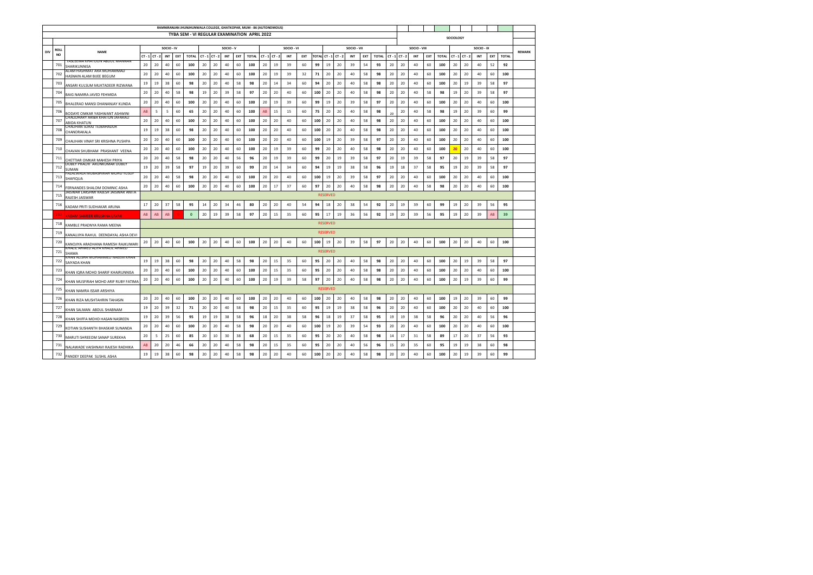|     |             |                                                                  | RAMNIRANJAN JHUNJHUNWALA COLLEGE, GHATKOPAR, MUM - 86 (AUTONOMOUS)<br>TYBA SEM - VI REGULAR EXAMINATION APRIL 2022<br>SOCIO - IV<br>SOCIO - V<br>SOCIO - VI<br>SOCIO - VII                                                                                                                                                                                                                                                                                                          |    |           |    |              |    |    |    |    |     |    |    |    |    |     |                 |    |    |    |    |    |    |    |    |     |           |    |            |     |              |               |
|-----|-------------|------------------------------------------------------------------|-------------------------------------------------------------------------------------------------------------------------------------------------------------------------------------------------------------------------------------------------------------------------------------------------------------------------------------------------------------------------------------------------------------------------------------------------------------------------------------|----|-----------|----|--------------|----|----|----|----|-----|----|----|----|----|-----|-----------------|----|----|----|----|----|----|----|----|-----|-----------|----|------------|-----|--------------|---------------|
|     |             |                                                                  |                                                                                                                                                                                                                                                                                                                                                                                                                                                                                     |    |           |    |              |    |    |    |    |     |    |    |    |    |     |                 |    |    |    |    |    |    |    |    |     | SOCIOLOGY |    |            |     |              |               |
|     | <b>ROLL</b> |                                                                  | SOCIO - VIII<br>$CT - 1$<br>$CT - 2$<br><b>INT</b><br>EXT<br><b>TOTAL</b><br>$CT - 1$ $CT -$<br>INT<br>EXT<br><b>TOTAL</b><br>$CT - 1$<br>$CT - 2$<br>INT<br>EXT<br><b>TOTA</b><br>$CT - 1$<br>$CT - 2$<br><b>TOTAL</b><br>$CT - 1$ $CT - 2$<br>EXT<br><b>TOTAL</b><br>CT - 1<br>$CT - 2$<br>INT<br>EXT<br>INT<br>20<br>40<br>60<br>20<br>20<br>20<br>19<br>20<br>60<br>20<br>20<br>20<br>100<br>40<br>60<br>100<br>39<br>60<br>99<br>19<br>39<br>54<br>93<br>20<br>20<br>40<br>100 |    |           |    |              |    |    |    |    |     |    |    |    |    |     | SOCIO - IX      |    |    |    |    |    |    |    |    |     |           |    |            |     |              |               |
| DIV | <b>NO</b>   | <b>NAME</b>                                                      |                                                                                                                                                                                                                                                                                                                                                                                                                                                                                     |    |           |    |              |    |    |    |    |     |    |    |    |    |     |                 |    |    |    |    |    |    |    |    |     |           |    | <b>INT</b> | EXT | <b>TOTAL</b> | <b>REMARK</b> |
|     | 701         | ASLEEMA KHATOON ABDUL MANNAN<br>SHARIKUNNISA                     |                                                                                                                                                                                                                                                                                                                                                                                                                                                                                     |    |           |    |              |    |    |    |    |     |    |    |    |    |     |                 |    |    |    |    |    |    |    |    |     |           |    | 40         | 52  | 92           |               |
|     | 702         | \LAM HASHMAT ARA MOHAMMAD<br>HASNAIN ALAM BIJEE BEGUM            | 20                                                                                                                                                                                                                                                                                                                                                                                                                                                                                  | 20 | 40        | 60 | 100          | 20 | 20 | 40 | 60 | 100 | 20 | 19 | 39 | 32 | 71  | 20              | 20 | 40 | 58 | 98 | 20 | 20 | 40 | 60 | 100 | 20        | 20 | 40         | 60  | 100          |               |
|     | 703         | ANSARI KULSUM MUKTADEER RIZWANA                                  | 19                                                                                                                                                                                                                                                                                                                                                                                                                                                                                  | 19 | 38        | 60 | 98           | 20 | 20 | 40 | 58 | 98  | 20 | 14 | 34 | 60 | 94  | 20              | 20 | 40 | 58 | 98 | 20 | 20 | 40 | 60 | 100 | 20        | 19 | 39         | 58  | 97           |               |
|     | 704         | BAIG NAMIRA JAVED FEHMIDA                                        | 20                                                                                                                                                                                                                                                                                                                                                                                                                                                                                  | 20 | 40        | 58 | 98           | 19 | 20 | 39 | 58 | 97  | 20 | 20 | 40 | 60 | 100 | 20              | 20 | 40 | 58 | 98 | 20 | 20 | 40 | 58 | 98  | 19        | 20 | 39         | 58  | 97           |               |
|     | 705         | BHALERAO MANSI DHANANJAY KUNDA                                   | 20                                                                                                                                                                                                                                                                                                                                                                                                                                                                                  | 20 | 40        | 60 | 100          | 20 | 20 | 40 | 60 | 100 | 20 | 19 | 39 | 60 | 99  | 19              | 20 | 39 | 58 | 97 | 20 | 20 | 40 | 60 | 100 | 20        | 20 | 40         | 60  | 100          |               |
|     | 706         | BODAYE OMKAR YASHWANT ASHWINI<br>CHAUDHARY ARIBA KHATUN JAFARALI | AB                                                                                                                                                                                                                                                                                                                                                                                                                                                                                  | 5  | 5         | 60 | 65           | 20 | 20 | 40 | 60 | 100 | AB | 15 | 15 | 60 | 75  | 20              | 20 | 40 | 58 | 98 | 20 | 20 | 40 | 58 | 98  | 19        | 20 | 39         | 60  | 99           |               |
|     | 707         | <b>ABIDA KHATUN</b>                                              | 20                                                                                                                                                                                                                                                                                                                                                                                                                                                                                  | 20 | 40        | 60 | 100          | 20 | 20 | 40 | 60 | 100 | 20 | 20 | 40 | 60 | 100 | 20              | 20 | 40 | 58 | 98 | 20 | 20 | 40 | 60 | 100 | 20        | 20 | 40         | 60  | 100          |               |
|     | 708         | CHAUHAN SURAJ TEJBAHADUR<br>CHANDRAKALA                          | 19                                                                                                                                                                                                                                                                                                                                                                                                                                                                                  | 19 | 38        | 60 | 98           | 20 | 20 | 40 | 60 | 100 | 20 | 20 | 40 | 60 | 100 | 20              | 20 | 40 | 58 | 98 | 20 | 20 | 40 | 60 | 100 | 20        | 20 | 40         | 60  | 100          |               |
|     | 709         | CHAUHAN VINAY SRI KRISHNA PUSHPA                                 | 20                                                                                                                                                                                                                                                                                                                                                                                                                                                                                  | 20 | 40        | 60 | 100          | 20 | 20 | 40 | 60 | 100 | 20 | 20 | 40 | 60 | 100 | 19              | 20 | 39 | 58 | 97 | 20 | 20 | 40 | 60 | 100 | 20        | 20 | 40         | 60  | 100          |               |
|     | 710         | CHAVAN SHUBHAM PRASHANT VEENA                                    | 20                                                                                                                                                                                                                                                                                                                                                                                                                                                                                  | 20 | 40        | 60 | 100          | 20 | 20 | 40 | 60 | 100 | 20 | 19 | 39 | 60 | 99  | 20              | 20 | 40 | 58 | 98 | 20 | 20 | 40 | 60 | 100 | 20        | 20 | 40         | 60  | 100          |               |
|     | 711         | CHETTIAR OMKAR MAHESH PRIYA                                      | 20                                                                                                                                                                                                                                                                                                                                                                                                                                                                                  | 20 | 40        | 58 | 98           | 20 | 20 | 40 | 56 | 96  | 20 | 19 | 39 | 60 | 99  | 20              | 19 | 39 | 58 | 97 | 20 | 19 | 39 | 58 | 97  | 20        | 19 | 39         | 58  | 97           |               |
|     | 712         | DUBEY PRACHI ARUNKUMAR DUBE<br><b>SUMAN</b>                      | 19                                                                                                                                                                                                                                                                                                                                                                                                                                                                                  | 20 | 39        | 58 | 97           | 19 | 20 | 39 | 60 | 99  | 20 | 14 | 34 | 60 | 94  | 19              | 19 | 38 | 58 | 96 | 19 | 18 | 37 | 58 | 95  | 19        | 20 | 39         | 58  | 97           |               |
|     | 713         | AZALWALA MUBASHIRAH MOHD YUSUI<br>SHAFIQUA                       | 20                                                                                                                                                                                                                                                                                                                                                                                                                                                                                  | 20 | 40        | 58 | 98           | 20 | 20 | 40 | 60 | 100 | 20 | 20 | 40 | 60 | 100 | 19              | 20 | 39 | 58 | 97 | 20 | 20 | 40 | 60 | 100 | 20        | 20 | 40         | 60  | 100          |               |
|     | 714         | ERNANDES SHALOM DOMINIC ASHA                                     | 20                                                                                                                                                                                                                                                                                                                                                                                                                                                                                  | 20 | 40        | 60 | 100          | 20 | 20 | 40 | 60 | 100 | 20 | 17 | 37 | 60 | 97  | 20              | 20 | 40 | 58 | 98 | 20 | 20 | 40 | 58 | 98  | 20        | 20 | 40         | 60  | 100          |               |
|     | 715         | AISWAR LAKSHMI RAJESH JAISWAR ANITA<br>RAJESH JAISWAR            |                                                                                                                                                                                                                                                                                                                                                                                                                                                                                     |    |           |    |              |    |    |    |    |     |    |    |    |    |     | <b>RESERVED</b> |    |    |    |    |    |    |    |    |     |           |    |            |     |              |               |
|     | 716         | KADAM PRITI SUDHAKAR ARUNA                                       | 17                                                                                                                                                                                                                                                                                                                                                                                                                                                                                  | 20 | 37        | 58 | 95           | 14 | 20 | 34 | 46 | 80  | 20 | 20 | 40 | 54 | 94  | 18              | 20 | 38 | 54 | 92 | 20 | 19 | 39 | 60 | 99  | 19        | 20 | 39         | 56  | 95           |               |
|     | 71.         | <b>ADAM SAMEER KRUSHNA LAXMI</b>                                 | AB                                                                                                                                                                                                                                                                                                                                                                                                                                                                                  | AB | <b>AB</b> |    | $\mathbf{0}$ | 20 | 19 | 39 | 58 | 97  | 20 | 15 | 35 | 60 | 95  | 17              | 19 | 36 | 56 | 92 | 19 | 20 | 39 | 56 | 95  | 19        | 20 | 39         | AB  | 39           |               |
|     | 718         | KAMBLE PRADNYA RAMA MEENA                                        |                                                                                                                                                                                                                                                                                                                                                                                                                                                                                     |    |           |    |              |    |    |    |    |     |    |    |    |    |     | <b>RESERVED</b> |    |    |    |    |    |    |    |    |     |           |    |            |     |              |               |
|     | 719         | KANAUJIYA RAHUL DEENDAYAL ASHA DEVI                              |                                                                                                                                                                                                                                                                                                                                                                                                                                                                                     |    |           |    |              |    |    |    |    |     |    |    |    |    |     | <b>RESERVED</b> |    |    |    |    |    |    |    |    |     |           |    |            |     |              |               |
|     | 720         | (ANOJIYA ARADHANA RAMESH RAJKUMARI                               | 20                                                                                                                                                                                                                                                                                                                                                                                                                                                                                  | 20 | 40        | 60 | 100          | 20 | 20 | 40 | 60 | 100 | 20 | 20 | 40 | 60 | 100 | 19              | 20 | 39 | 58 | 97 | 20 | 20 | 40 | 60 | 100 | 20        | 20 | 40         | 60  | 100          |               |
|     | 721         | KHALIL AHMED ALIFA KHALIL AHMED<br><b>SHAMA</b>                  |                                                                                                                                                                                                                                                                                                                                                                                                                                                                                     |    |           |    |              |    |    |    |    |     |    |    |    |    |     | <b>RESERVED</b> |    |    |    |    |    |    |    |    |     |           |    |            |     |              |               |
|     | 722         | .HAN ALISHA MOHAMMED NAEEM KHAN<br>SAIYADA KHAN                  | 19                                                                                                                                                                                                                                                                                                                                                                                                                                                                                  | 19 | 38        | 60 | 98           | 20 | 20 | 40 | 58 | 98  | 20 | 15 | 35 | 60 | 95  | 20              | 20 | 40 | 58 | 98 | 20 | 20 | 40 | 60 | 100 | 20        | 19 | 39         | 58  | 97           |               |
|     | 723         | HAN IQRA MOHD SHARIF KHAIRUNNISA                                 | 20                                                                                                                                                                                                                                                                                                                                                                                                                                                                                  | 20 | 40        | 60 | 100          | 20 | 20 | 40 | 60 | 100 | 20 | 15 | 35 | 60 | 95  | 20              | 20 | 40 | 58 | 98 | 20 | 20 | 40 | 60 | 100 | 20        | 20 | 40         | 60  | 100          |               |
|     | 724         | (HAN MUSFIRAH MOHD ARIF RUBY FATIMA                              | 20                                                                                                                                                                                                                                                                                                                                                                                                                                                                                  | 20 | 40        | 60 | 100          | 20 | 20 | 40 | 60 | 100 | 20 | 19 | 39 | 58 | 97  | 20              | 20 | 40 | 58 | 98 | 20 | 20 | 40 | 60 | 100 | 20        | 19 | 39         | 60  | 99           |               |
|     | 725         | (HAN NAMRA ISSAR ARSHIYA                                         |                                                                                                                                                                                                                                                                                                                                                                                                                                                                                     |    |           |    |              |    |    |    |    |     |    |    |    |    |     | <b>RESERVED</b> |    |    |    |    |    |    |    |    |     |           |    |            |     |              |               |
|     | 726         | HAN RIZA MUSHTAHRIN TAHASIN                                      | 20                                                                                                                                                                                                                                                                                                                                                                                                                                                                                  | 20 | 40        | 60 | 100          | 20 | 20 | 40 | 60 | 100 | 20 | 20 | 40 | 60 | 100 | 20              | 20 | 40 | 58 | 98 | 20 | 20 | 40 | 60 | 100 | 19        | 20 | 39         | 60  | 99           |               |
|     | 727         | HAN SALMAN ABDUL SHABNAM)                                        | 19                                                                                                                                                                                                                                                                                                                                                                                                                                                                                  | 20 | 39        | 32 | -71          | 20 | 20 | 40 | 58 | 98  | 20 | 15 | 35 | 60 | 95  | 19              | 19 | 38 | 58 | 96 | 20 | 20 | 40 | 60 | 100 | 20        | 20 | 40         | 60  | 100          |               |
|     | 728         | (HAN SHIFFA MOHD HASAN NASREEN                                   | 19                                                                                                                                                                                                                                                                                                                                                                                                                                                                                  | 20 | 39        | 56 | 95           | 19 | 19 | 38 | 58 | 96  | 18 | 20 | 38 | 58 | 96  | 18              | 19 | 37 | 58 | 95 | 19 | 19 | 38 | 58 | 96  | 20        | 20 | 40         | 56  | 96           |               |
|     | 729         | KOTIAN SUSHANTH BHASKAR SUNANDA                                  | 20                                                                                                                                                                                                                                                                                                                                                                                                                                                                                  | 20 | 40        | 60 | 100          | 20 | 20 | 40 | 58 | 98  | 20 | 20 | 40 | 60 | 100 | 19              | 20 | 39 | 54 | 93 | 20 | 20 | 40 | 60 | 100 | 20        | 20 | 40         | 60  | 100          |               |
|     | 730         | MARUTI SHREEOM SANAP SUREKHA                                     | 20                                                                                                                                                                                                                                                                                                                                                                                                                                                                                  | 5  | 25        | 60 | 85           | 20 | 10 | 30 | 38 | 68  | 20 | 15 | 35 | 60 | 95  | 20              | 20 | 40 | 58 | 98 | 14 | 17 | 31 | 58 | 89  | 17        | 20 | 37         | 56  | 93           |               |
|     | 731         | NALAWADE VAISHNAVI RAJESH RADHIKA                                | AB                                                                                                                                                                                                                                                                                                                                                                                                                                                                                  | 20 | 20        | 46 | 66           | 20 | 20 | 40 | 58 | 98  | 20 | 15 | 35 | 60 | 95  | 20              | 20 | 40 | 56 | 96 | 15 | 20 | 35 | 60 | 95  | 19        | 19 | 38         | 60  | 98           |               |
|     | 732         | PANDEY DEEPAK SUSHIL ASHA                                        | 19                                                                                                                                                                                                                                                                                                                                                                                                                                                                                  | 19 | 38        | 60 | 98           | 20 | 20 | 40 | 58 | 98  | 20 | 20 | 40 | 60 | 100 | 20              | 20 | 40 | 58 | 98 | 20 | 20 | 40 | 60 | 100 | 20        | 19 | 39         | 60  | 99           |               |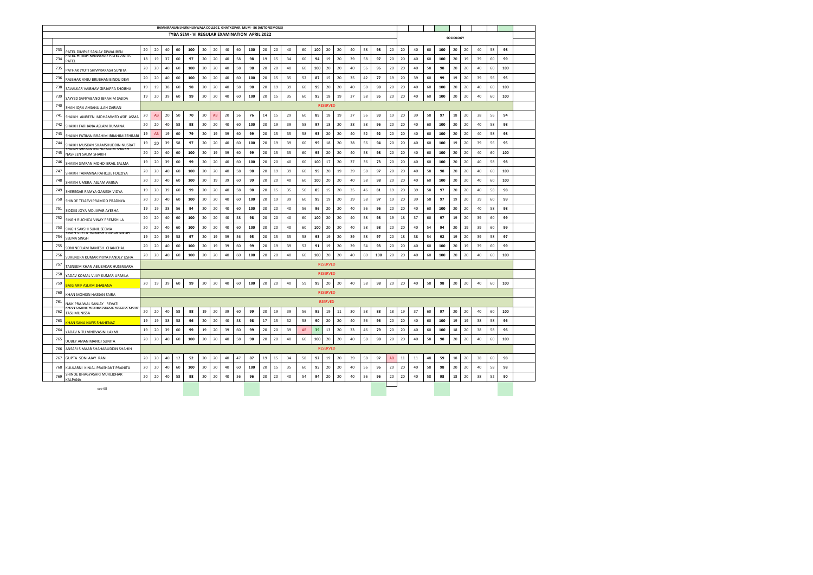|     |                                                                                               |    |    |    |    | RAMNIRANJAN JHUNJHUNWALA COLLEGE, GHATKOPAR, MUM - 86 (AUTONOMOUS) |       |       |    |    |     |    |    |    |    |     |                 |       |    |    |     |    |       |    |    |     |           |    |    |    |     |  |
|-----|-----------------------------------------------------------------------------------------------|----|----|----|----|--------------------------------------------------------------------|-------|-------|----|----|-----|----|----|----|----|-----|-----------------|-------|----|----|-----|----|-------|----|----|-----|-----------|----|----|----|-----|--|
|     |                                                                                               |    |    |    |    | TYBA SEM - VI REGULAR EXAMINATION APRIL 2022                       |       |       |    |    |     |    |    |    |    |     |                 |       |    |    |     |    |       |    |    |     | SOCIOLOGY |    |    |    |     |  |
| 733 | PATEL DIMPLE SANJAY DIWALIBEN                                                                 | 20 | 20 | 40 | 60 | 100                                                                | 20    | 20    | 40 | 60 | 100 | 20 | 20 | 40 | 60 | 100 | 20              | 20    | 40 | 58 | 98  | 20 | 20    | 40 | 60 | 100 | 20        | 20 | 40 | 58 | 98  |  |
| 734 | PATEL HITESH RAMASRAY PATEL ANITA<br>PATEL                                                    | 18 | 19 | 37 | 60 | 97                                                                 | 20    | 20    | 40 | 58 | 98  | 19 | 15 | 34 | 60 | 94  | 19              | 20    | 39 | 58 | 97  | 20 | 20    | 40 | 60 | 100 | 20        | 19 | 39 | 60 | 99  |  |
| 735 | PATHAK JYOTI SHIVPRAKASH SUNITA                                                               | 20 | 20 | 40 | 60 | 100                                                                | 20    | 20    | 40 | 58 | 98  | 20 | 20 | 40 | 60 | 100 | 20              | 20    | 40 | 56 | 96  | 20 | 20    | 40 | 58 | 98  | 20        | 20 | 40 | 60 | 100 |  |
| 736 | RAJBHAR ANJU BRIJBHAN BINDU DEVI                                                              | 20 | 20 | 40 | 60 | 100                                                                | 20    | 20    | 40 | 60 | 100 | 20 | 15 | 35 | 52 | 87  | 15              | 20    | 35 | 42 | -77 | 19 | 20    | 39 | 60 | 99  | 19        | 20 | 39 | 56 | 95  |  |
| 738 | SAVALKAR VAIBHAV GIRJAPPA SHOBHA                                                              | 19 | 19 | 38 | 60 | 98                                                                 | 20    | 20    | 40 | 58 | 98  | 20 | 19 | 39 | 60 | 99  | 20              | 20    | 40 | 58 | 98  | 20 | 20    | 40 | 60 | 100 | 20        | 20 | 40 | 60 | 100 |  |
| 739 | SAYYED SAFIYABANO IBRAHIM SAJIDA                                                              | 19 | 20 | 39 | 60 | 99                                                                 | 20    | 20    | 40 | 60 | 100 | 20 | 15 | 35 | 60 | 95  | 18              | 19    | 37 | 58 | 95  | 20 | 20    | 40 | 60 | 100 | 20        | 20 | 40 | 60 | 100 |  |
| 740 | SHAH IQRA AHSANULLAH ZARIAN                                                                   |    |    |    |    |                                                                    |       |       |    |    |     |    |    |    |    |     | <b>RESERVED</b> |       |    |    |     |    |       |    |    |     |           |    |    |    |     |  |
| 741 | SHAIKH AMREEN MOHAMMED ASIF ASMA                                                              | 20 | AB | 20 | 50 | 70                                                                 | 20    | AB    | 20 | 56 | 76  | 14 | 15 | 29 | 60 | 89  | 18              | 19    | 37 | 56 | 93  | 19 | 20    | 39 | 58 | 97  | 18        | 20 | 38 | 56 | 94  |  |
| 742 | SHAIKH FARHANA ASLAM RUMANA                                                                   | 20 | 20 | 40 | 58 | 98                                                                 | 20    | 20    | 40 | 60 | 100 | 20 | 19 | 39 | 58 | 97  | 18              | 20    | 38 | 58 | 96  | 20 | 20    | 40 | 60 | 100 | 20        | 20 | 40 | 58 | 98  |  |
| 743 | SHAIKH FATIMA IBRAHIM IBRAHIM ZEHRAB                                                          | 19 | AB | 19 | 60 | 79                                                                 | 20    | 19    | 39 | 60 | 99  | 20 | 15 | 35 | 58 | 93  | 20              | 20    | 40 | 52 | 92  | 20 | 20    | 40 | 60 | 100 | 20        | 20 | 40 | 58 | 98  |  |
| 744 | SHAIKH MUSKAN SHAMSHUDDIN NUSRAT                                                              | 19 | 20 | 39 | 58 | 97                                                                 | 20    | 20    | 40 | 60 | 100 | 20 | 19 | 39 | 60 | 99  | 18              | 20    | 38 | 56 | 94  | 20 | 20    | 40 | 60 | 100 | 19        | 20 | 39 | 56 | 95  |  |
| 745 | FHAIKH SHEZAN MOHD SALIM SHAIKH<br>NASREEN SALIM SHAIKH                                       | 20 | 20 | 40 | 60 | 100                                                                | 20    | 19    | 39 | 60 | 99  | 20 | 15 | 35 | 60 | 95  | 20              | 20    | 40 | 58 | 98  | 20 | 20    | 40 | 60 | 100 | 20        | 20 | 40 | 60 | 100 |  |
| 746 | SHAIKH SIMRAN MOHD ISRAIL SALMA                                                               | 19 | 20 | 39 | 60 | 99                                                                 | 20    | 20    | 40 | 60 | 100 | 20 | 20 | 40 | 60 | 100 | 17              | 20    | 37 | 36 | 73  | 20 | 20    | 40 | 60 | 100 | 20        | 20 | 40 | 58 | 98  |  |
| 747 | SHAIKH TAMANNA RAFIQUE FOUZIYA                                                                | 20 | 20 | 40 | 60 | 100                                                                | 20    | 20    | 40 | 58 | 98  | 20 | 19 | 39 | 60 | 99  | 20              | 19    | 39 | 58 | 97  | 20 | 20    | 40 | 58 | 98  | 20        | 20 | 40 | 60 | 100 |  |
| 748 | SHAIKH UMERA ASLAM AMINA                                                                      | 20 | 20 | 40 | 60 | 100                                                                | 20    | 19    | 39 | 60 | 99  | 20 | 20 | 40 | 60 | 100 | 20              | 20    | 40 | 58 | 98  | 20 | 20    | 40 | 60 | 100 | 20        | 20 | 40 | 60 | 100 |  |
| 749 | SHEREGAR RAMYA GANESH VIDYA                                                                   | 19 | 20 | 39 | 60 | 99                                                                 | 20    | 20    | 40 | 58 | 98  | 20 | 15 | 35 | 50 | 85  | 15              | 20    | 35 | 46 | 81  | 19 | 20    | 39 | 58 | 97  | 20        | 20 | 40 | 58 | 98  |  |
| 750 | SHINDE TEJASVI PRAMOD PRADNYA                                                                 | 20 | 20 | 40 | 60 | 100                                                                | 20    | 20    | 40 | 60 | 100 | 20 | 19 | 39 | 60 | 99  | 19              | 20    | 39 | 58 | 97  | 19 | 20    | 39 | 58 | 97  | 19        | 20 | 39 | 60 | 99  |  |
| 751 | SIDDIKI JOYA MD JAFAR AYESHA                                                                  | 19 | 19 | 38 | 56 | 94                                                                 | 20    | 20    | 40 | 60 | 100 | 20 | 20 | 40 | 56 | 96  | 20              | 20    | 40 | 56 | 96  | 20 | 20    | 40 | 60 | 100 | 20        | 20 | 40 | 58 | 98  |  |
| 752 | SINGH RUCHICA VINAY PREMSHILA                                                                 | 20 | 20 | 40 | 60 | 100                                                                | 20    | 20    | 40 | 58 | 98  | 20 | 20 | 40 | 60 | 100 | 20              | 20    | 40 | 58 | 98  | 19 | 18    | 37 | 60 | 97  | 19        | 20 | 39 | 60 | 99  |  |
| 753 | SINGH SAKSHI SUNIL SEEMA                                                                      | 20 | 20 | 40 | 60 | 100                                                                | 20    | 20    | 40 | 60 | 100 | 20 | 20 | 40 | 60 | 100 | 20              | 20    | 40 | 58 | 98  | 20 | 20    | 40 | 54 | 94  | 20        | 19 | 39 | 60 | 99  |  |
| 754 | SINGH VIJETA-RAMESH KUMAR SINGH<br>SEEMA SINGH                                                | 19 | 20 | 39 | 58 | 97                                                                 | 20    | 19    | 39 | 56 | 95  | 20 | 15 | 35 | 58 | 93  | 19              | 20    | 39 | 58 | 97  | 20 | 18    | 38 | 54 | 92  | 19        | 20 | 39 | 58 | 97  |  |
| 755 | SONI NEELAM RAMESH CHANCHAL                                                                   | 20 | 20 | 40 | 60 | 100                                                                | 20    | 19    | 39 | 60 | 99  | 20 | 19 | 39 | 52 | 91  | 19              | 20    | 39 | 54 | 93  | 20 | 20    | 40 | 60 | 100 | 20        | 19 | 39 | 60 | 99  |  |
| 756 |                                                                                               | 20 | 20 | 40 | 60 | 100                                                                | 20    | 20    | 40 | 60 | 100 | 20 | 20 | 40 | 60 |     | 20              | 20    | 40 | 60 | 100 | 20 | 20    | 40 | 60 | 100 | 20        | 20 | 40 | 60 | 100 |  |
| 757 | 100<br>SURENDRA KUMAR PRIYA PANDEY USHA<br><b>RESERVED</b><br>TASNEEM KHAN ABUBAKAR HUSSNEARA |    |    |    |    |                                                                    |       |       |    |    |     |    |    |    |    |     |                 |       |    |    |     |    |       |    |    |     |           |    |    |    |     |  |
| 758 | <b>RESERVED</b><br>YADAV KOMAL VIJAY KUMAR URMILA                                             |    |    |    |    |                                                                    |       |       |    |    |     |    |    |    |    |     |                 |       |    |    |     |    |       |    |    |     |           |    |    |    |     |  |
| 759 | BAIG ARIF ASLAM SHABANA                                                                       | 20 | 19 | 39 | 60 | 99                                                                 | 20    | 20    | 40 | 60 | 100 | 20 | 20 | 40 | 59 | 99  | 20              | 20    | 40 | 58 | 98  | 20 | 20    | 40 | 58 | 98  | 20        | 20 | 40 | 60 | 100 |  |
| 760 | KHAN MOHSIN HASSAN SAIRA                                                                      |    |    |    |    |                                                                    |       |       |    |    |     |    |    |    |    |     | <b>RESERVED</b> |       |    |    |     |    |       |    |    |     |           |    |    |    |     |  |
| 761 | NAIK PRAJWAL SANJAY REVATI<br>KHAN UMME HABIBA ABDUL RAZZAK KHAN                              |    |    |    |    |                                                                    |       |       |    |    |     |    |    |    |    |     | <b>RSERVED</b>  |       |    |    |     |    |       |    |    |     |           |    |    |    |     |  |
| 762 | TASLIMUNISSA                                                                                  | 20 | 20 | 40 | 58 | 98                                                                 | 19    | 20    | 39 | 60 | 99  | 20 | 19 | 39 | 56 | 95  | 19              | 11    | 30 | 58 | 88  | 18 | 19    | 37 | 60 | 97  | 20        | 20 | 40 | 60 | 100 |  |
| 763 | KHAN SANA NAFIS SHAHENAZ                                                                      | 19 | 19 | 38 | 58 | 96                                                                 | 20    | 20    | 40 | 58 | 98  | 17 | 15 | 32 | 58 | 90  | 20              | 20    | 40 | 56 | 96  | 20 | 20    | 40 | 60 | 100 | 19        | 19 | 38 | 58 | 96  |  |
|     | YADAV NITU VINDVASINI LAXMI                                                                   | 19 | 20 | 39 | 60 | 99                                                                 | 19 20 |       | 39 | 60 | 99  | 20 | 20 | 39 | AB | 39  |                 | 13 20 | 33 | 46 | 79  |    | 20 20 | 40 | 60 | 100 | 18        | 20 | 38 | 58 | 96  |  |
| 765 | DUBEY AMAN MANOJ SUNITA                                                                       | 20 | 20 | 40 | 60 | 100                                                                |       | 20 20 | 40 | 58 | 98  | 20 | 20 | 40 | 60 | 100 | 20              | 20    | 40 | 58 | 98  | 20 | 20    | 40 | 58 | 98  | 20        | 20 | 40 | 60 | 100 |  |
|     | 766 ANSARI SIMAAB SHAHABUDDIN SHAHIN                                                          |    |    |    |    |                                                                    |       |       |    |    |     |    |    |    |    |     | <b>RESERVED</b> |       |    |    |     |    |       |    |    |     |           |    |    |    |     |  |
|     | 767 GUPTA SONI AJAY RANI                                                                      | 20 | 20 | 40 | 12 | 52                                                                 | 20    | 20    | 40 | 47 | 87  | 19 | 15 | 34 | 58 | 92  | 19              | 20    | 39 | 58 | 97  | AB | 11    | 11 | 48 | 59  | 18        | 20 | 38 | 60 | 98  |  |
|     | 768 KULKARNI KINJAL PRASHANT PRANITA<br>SHINDE BHAGYASHRI MURLIDHAR                           | 20 | 20 | 40 | 60 | 100                                                                | 20    | 20    | 40 | 60 | 100 | 20 | 15 | 35 | 60 | 95  | 20              | 20    | 40 | 56 | 96  | 20 | 20    | 40 | 58 | 98  | 20        | 20 | 40 | 58 | 98  |  |
| 769 | KALPANA                                                                                       | 20 | 20 | 40 | 58 | 98                                                                 | 20    | 20    | 40 | 56 | 96  | 20 | 20 | 40 | 54 | 94  | 20              | 20    | 40 | 56 | 96  | 20 | 20    | 40 | 58 | 98  | 18        | 20 | 38 | 52 | 90  |  |
|     | soc-68                                                                                        |    |    |    |    |                                                                    |       |       |    |    |     |    |    |    |    |     |                 |       |    |    |     |    |       |    |    |     |           |    |    |    |     |  |
|     |                                                                                               |    |    |    |    |                                                                    |       |       |    |    |     |    |    |    |    |     |                 |       |    |    |     |    |       |    |    |     |           |    |    |    |     |  |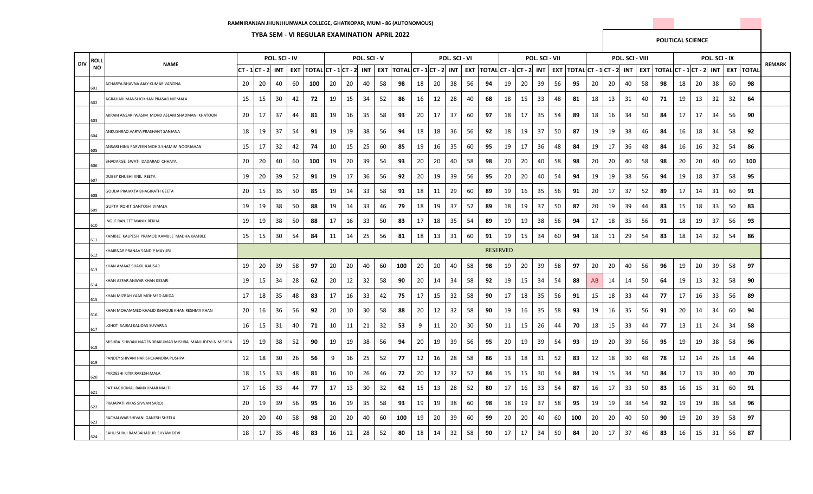#### **RAMNIRANJAN JHUNJHUNWALA COLLEGE, GHATKOPAR, MUM - 86 (AUTONOMOUS)**

## **TYBA SEM - VI REGULAR EXAMINATION APRIL 2022**

**POLITICAL SCIENCE**

|     | ROLL |                                                        |                |    | POL. SCI - IV |     |                                  |    |    | POL. SCI - V |            |                         |    |    | POL. SCI - VI |            |                         |                 |    | POL. SCI - VII |            |                          |    |    | <b>POL. SCI - VIII</b> |     |                     |    |    | POL. SCI - IX |            |             |               |
|-----|------|--------------------------------------------------------|----------------|----|---------------|-----|----------------------------------|----|----|--------------|------------|-------------------------|----|----|---------------|------------|-------------------------|-----------------|----|----------------|------------|--------------------------|----|----|------------------------|-----|---------------------|----|----|---------------|------------|-------------|---------------|
| DIV | NO   | <b>NAME</b>                                            | $CT - 1CT - 2$ |    | INT           | EXT | TOTAL <b>ICT - 1ICT - 2I INT</b> |    |    |              | <b>EXT</b> | TOTALICT - 1 CT - 2 INT |    |    |               | <b>EXT</b> | TOTALICT - 1 CT - 2 INT |                 |    |                | <b>EXT</b> | TOTAL CT - 1 CT - 2  INT |    |    |                        | EXT | TOTAL CT - 1 CT - 2 |    |    | INT           | <b>EXT</b> | <b>TOTA</b> | <b>REMARK</b> |
|     | 601  | ACHARYA BHAVNA AJAY KUMAR VANDNA                       | 20             | 20 | 40            | 60  | 100                              | 20 | 20 | 40           | 58         | 98                      | 18 | 20 | 38            | 56         | 94                      | 19              | 20 | 39             | 56         | 95                       | 20 | 20 | 40                     | 58  | 98                  | 18 | 20 | 38            | 60         | 98          |               |
|     | 602  | AGRAHARI MANSI JOKHAN PRASAD NIRMALA                   | 15             | 15 | 30            | 42  | 72                               | 19 | 15 | 34           | 52         | 86                      | 16 | 12 | 28            | 40         | 68                      | 18              | 15 | 33             | 48         | 81                       | 18 | 13 | 31                     | 40  | 71                  | 19 | 13 | 32            | 32         | 64          |               |
|     | 603  | AKRAM ANSARI WASIM MOHD ASLAM SHADMANI KHATOON         | 20             | 17 | 37            | 44  | 81                               | 19 | 16 | 35           | 58         | 93                      | 20 | 17 | 37            | 60         | 97                      | 18              | 17 | 35             | 54         | 89                       | 18 | 16 | 34                     | 50  | 84                  | 17 | 17 | 34            | 56         | 90          |               |
|     | 604  | ANKUSHRAO AARYA PRASHANT SANJANA                       | 18             | 19 | 37            | 54  | 91                               | 19 | 19 | 38           | 56         | 94                      | 18 | 18 | 36            | 56         | 92                      | 18              | 19 | 37             | 50         | 87                       | 19 | 19 | 38                     | 46  | 84                  | 16 | 18 | 34            | 58         | 92          |               |
|     | 605  | ANSARI HINA PARVEEN MOHD.SHAMIM NOORJAHAN              | 15             | 17 | 32            | 42  | 74                               | 10 | 15 | 25           | 60         | 85                      | 19 | 16 | 35            | 60         | 95                      | 19              | 17 | 36             | 48         | 84                       | 19 | 17 | 36                     | 48  | 84                  | 16 | 16 | 32            | 54         | 86          |               |
|     | 606  | BHADARGE SWATI DADARAO CHHAYA                          | 20             | 20 | 40            | 60  | 100                              | 19 | 20 | 39           | 54         | 93                      | 20 | 20 | 40            | 58         | 98                      | 20              | 20 | 40             | 58         | 98                       | 20 | 20 | 40                     | 58  | 98                  | 20 | 20 | 40            | 60         | 100         |               |
|     | 607  | DUBEY KHUSHI ANIL REETA                                | 19             | 20 | 39            | 52  | 91                               | 19 | 17 | 36           | 56         | 92                      | 20 | 19 | 39            | 56         | 95                      | 20              | 20 | 40             | 54         | 94                       | 19 | 19 | 38                     | 56  | 94                  | 19 | 18 | 37            | 58         | 95          |               |
|     | 608  | GOUDA PRAJAKTA BHAGIRATH GEETA                         | 20             | 15 | 35            | 50  | 85                               | 19 | 14 | 33           | 58         | 91                      | 18 | 11 | 29            | 60         | 89                      | 19              | 16 | 35             | 56         | 91                       | 20 | 17 | 37                     | 52  | 89                  | 17 | 14 | 31            | 60         | 91          |               |
|     | 609  | GUPTA ROHIT SANTOSH VIMALA                             | 19             | 19 | 38            | 50  | 88                               | 19 | 14 | 33           | 46         | 79                      | 18 | 19 | 37            | 52         | 89                      | 18              | 19 | 37             | 50         | 87                       | 20 | 19 | 39                     | 44  | 83                  | 15 | 18 | 33            | 50         | 83          |               |
|     | 510  | NGLE RANJEET MANIK REKHA                               | 19             | 19 | 38            | 50  | 88                               | 17 | 16 | 33           | 50         | 83                      | 17 | 18 | 35            | 54         | 89                      | 19              | 19 | 38             | 56         | 94                       | 17 | 18 | 35                     | 56  | 91                  | 18 | 19 | 37            | 56         | 93          |               |
|     | 511  | KAMBLE KALPESH PRAMOD KAMBLE MADHA KAMBLE              | 15             | 15 | 30            | 54  | 84                               | 11 | 14 | 25           | 56         | 81                      | 18 | 13 | 31            | 60         | 91                      | 19              | 15 | 34             | 60         | 94                       | 18 | 11 | 29                     | 54  | 83                  | 18 | 14 | 32            | 54         | 86          |               |
|     | 612  | KHAIRNAR PRANAV SANDIP MAYURI                          |                |    |               |     |                                  |    |    |              |            |                         |    |    |               |            |                         | <b>RESERVED</b> |    |                |            |                          |    |    |                        |     |                     |    |    |               |            |             |               |
|     | 613  | KHAN AMAAZ SHAKIL KAUSAR                               | 19             | 20 | 39            | 58  | 97                               | 20 | 20 | 40           | 60         | 100                     | 20 | 20 | 40            | 58         | 98                      | 19              | 20 | 39             | 58         | 97                       | 20 | 20 | 40                     | 56  | 96                  | 19 | 20 | 39            | 58         | 97          |               |
|     | 614  | KHAN AZFAR ANWAR KHAN KESARI                           | 19             | 15 | 34            | 28  | 62                               | 20 | 12 | 32           | 58         | 90                      | 20 | 14 | 34            | 58         | 92                      | 19              | 15 | 34             | 54         | 88                       | AB | 14 | 14                     | 50  | 64                  | 19 | 13 | 32            | 58         | 90          |               |
|     | 615  | KHAN MIZBAH YAAR MOHMED ABIDA                          | 17             | 18 | 35            | 48  | 83                               | 17 | 16 | 33           | 42         | 75                      | 17 | 15 | 32            | 58         | 90                      | 17              | 18 | 35             | 56         | 91                       | 15 | 18 | 33                     | 44  | 77                  | 17 | 16 | 33            | 56         | 89          |               |
|     | 616  | KHAN MOHAMMED KHALID ISHAQUE KHAN RESHMA KHAN          | 20             | 16 | 36            | 56  | 92                               | 20 | 10 | 30           | 58         | 88                      | 20 | 12 | 32            | 58         | 90                      | 19              | 16 | 35             | 58         | 93                       | 19 | 16 | 35                     | 56  | 91                  | 20 | 14 | 34            | 60         | 94          |               |
|     | 617  | OHOT SAIRAJ KALIDAS SUVARNA                            | 16             | 15 | 31            | 40  | 71                               | 10 | 11 | 21           | 32         | 53                      | 9  | 11 | 20            | 30         | 50                      | 11              | 15 | 26             | 44         | 70                       | 18 | 15 | 33                     | 44  | 77                  | 13 | 11 | 24            | 34         | 58          |               |
|     | 518  | MISHRA SHIVANI NAGENDRAKUMAR MISHRA MANJUDEVI N MISHRA | 19             | 19 | 38            | 52  | 90                               | 19 | 19 | 38           | 56         | 94                      | 20 | 19 | 39            | 56         | 95                      | 20              | 19 | 39             | 54         | 93                       | 19 | 20 | 39                     | 56  | 95                  | 19 | 19 | 38            | 58         | 96          |               |
|     | 619  | PANDEY SHIVAM HARISHCHANDRA PUSHPA                     | 12             | 18 | 30            | 26  | 56                               | 9  | 16 | 25           | 52         | 77                      | 12 | 16 | 28            | 58         | 86                      | 13              | 18 | 31             | 52         | 83                       | 12 | 18 | 30                     | 48  | 78                  | 12 | 14 | 26            | 18         | 44          |               |
|     | 520  | PARDESHI RITIK RAKESH MALA                             | 18             | 15 | 33            | 48  | 81                               | 16 | 10 | 26           | 46         | 72                      | 20 | 12 | 32            | 52         | 84                      | 15              | 15 | 30             | 54         | 84                       | 19 | 15 | 34                     | 50  | 84                  | 17 | 13 | 30            | 40         | 70          |               |
|     | 621  | PATHAK KOMAL RAMKUMAR MALTI                            | 17             | 16 | 33            | 44  | 77                               | 17 | 13 | 30           | 32         | 62                      | 15 | 13 | 28            | 52         | 80                      | 17              | 16 | 33             | 54         | 87                       | 16 | 17 | 33                     | 50  | 83                  | 16 | 15 | 31            | 60         | 91          |               |
|     | 622  | PRAJAPATI VIKAS SIVVAN SAROJ                           | 20             | 19 | 39            | 56  | 95                               | 16 | 19 | 35           | 58         | 93                      | 19 | 19 | 38            | 60         | 98                      | 18              | 19 | 37             | 58         | 95                       | 19 | 19 | 38                     | 54  | 92                  | 19 | 19 | 38            | 58         | 96          |               |
|     | 623. | RACHALWAR SHIVANI GANESH SHEELA                        | 20             | 20 | 40            | 58  | 98                               | 20 | 20 | 40           | 60         | 100                     | 19 | 20 | 39            | 60         | 99                      | 20              | 20 | 40             | 60         | 100                      | 20 | 20 | 40                     | 50  | 90                  | 19 | 20 | 39            | 58         | 97          |               |
|     | 624  | SAHU SHIVJI RAMBAHADUR SHYAM DEVI                      | 18             | 17 | 35            | 48  | 83                               | 16 | 12 | 28           | 52         | 80                      | 18 | 14 | 32            | 58         | 90                      | 17              | 17 | 34             | 50         | 84                       | 20 | 17 | 37                     | 46  | 83                  | 16 | 15 | 31            | 56         | 87          |               |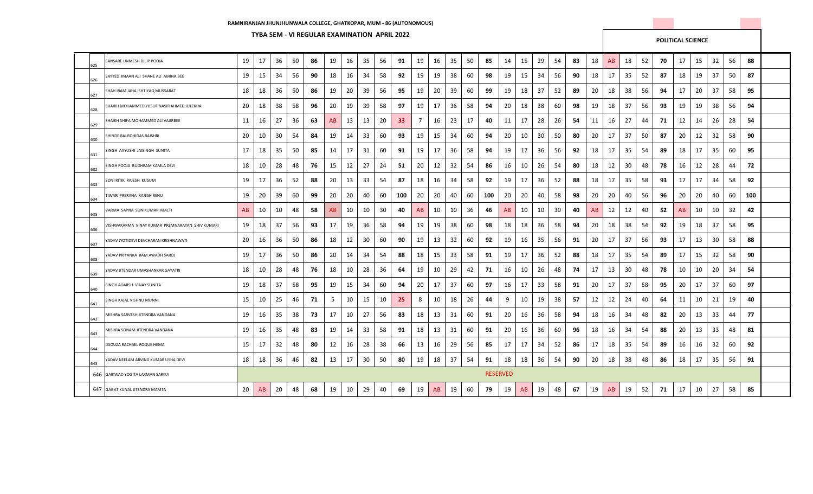| RAMNIRANJAN JHUNJHUNWALA COLLEGE, GHATKOPAR, MUM - 86 (AUTONOMOUS) |  |
|--------------------------------------------------------------------|--|
|                                                                    |  |

**TYBA SEM - VI REGULAR EXAMINATION APRIL 2022**

**POLITICAL SCIENCE**

| 625 |     | SANSARE UNMESH DILIP POOJA                      | 19 | 17 | 36 | 50 | 86 | 19 | 16 | 35 | 56 | 91  | 19 | 16 | 35 | 50  | 85  | 14              | 15 | 29 | 54 | 83 | 18 | AB | 18 | 52  | 70 | 17 | 15 | 32 | 56 | 88  |  |
|-----|-----|-------------------------------------------------|----|----|----|----|----|----|----|----|----|-----|----|----|----|-----|-----|-----------------|----|----|----|----|----|----|----|-----|----|----|----|----|----|-----|--|
| 626 |     | SAYYED IMAAN ALI SHANE ALI AMINA BEE            | 19 | 15 | 34 | 56 | 90 | 18 | 16 | 34 | 58 | 92  | 19 | 19 | 38 | 60  | 98  | 19              | 15 | 34 | 56 | 90 | 18 | 17 | 35 | 52  | 87 | 18 | 19 | 37 | 50 | 87  |  |
| 627 |     | SHAH IRAM JAHA ISHTIYAQ MUSSARAT                | 18 | 18 | 36 | 50 | 86 | 19 | 20 | 39 | 56 | 95  | 19 | 20 | 39 | 60  | 99  | 19              | 18 | 37 | 52 | 89 | 20 | 18 | 38 | 56  | 94 | 17 | 20 | 37 | 58 | 95  |  |
| 628 |     | SHAIKH MOHAMMED YUSUF NASIR AHMED JULEKHA       | 20 | 18 | 38 | 58 | 96 | 20 | 19 | 39 | 58 | 97  | 19 | 17 | 36 | 58  | 94  | 20              | 18 | 38 | 60 | 98 | 19 | 18 | 37 | 56  | 93 | 19 | 19 | 38 | 56 | 94  |  |
| 629 |     | SHAIKH SHIFA MOHAMMED ALI VAJIRBEE              | 11 | 16 | 27 | 36 | 63 | AB | 13 | 13 | 20 | 33  |    | 16 | 23 | 17  | 40  | 11              | 17 | 28 | 26 | 54 | 11 | 16 | 27 | 44  | 71 | 12 | 14 | 26 | 28 | 54  |  |
| 630 |     | SHINDE RAJ ROHIDAS RAJSHRI                      | 20 | 10 | 30 | 54 | 84 | 19 | 14 | 33 | 60 | 93  | 19 | 15 | 34 | 60  | 94  | 20              | 10 | 30 | 50 | 80 | 20 | 17 | 37 | 50  | 87 | 20 | 12 | 32 | 58 | 90  |  |
| 631 |     | SINGH AAYUSHI JAISINGH SUNITA                   | 17 | 18 | 35 | 50 | 85 | 14 | 17 | 31 | 60 | 91  | 19 | 17 | 36 | 58  | 94  | 19              | 17 | 36 | 56 | 92 | 18 | 17 | 35 | 54  | 89 | 18 | 17 | 35 | 60 | 95  |  |
| 632 |     | SINGH POOJA BUDHRAM KAMLA DEVI                  | 18 | 10 | 28 | 48 | 76 | 15 | 12 | 27 | 24 | 51  | 20 | 12 | 32 | -54 | 86  | 16              | 10 | 26 | 54 | 80 | 18 | 12 | 30 | 48  | 78 | 16 | 12 | 28 | 44 | 72  |  |
| 633 |     | SONI RITIK RAJESH KUSUM                         | 19 | 17 | 36 | 52 | 88 | 20 | 13 | 33 | 54 | 87  | 18 | 16 | 34 | 58  | 92  | 19              | 17 | 36 | 52 | 88 | 18 | 17 | 35 | -58 | 93 | 17 | 17 | 34 | 58 | 92  |  |
| 634 |     | IWARI PRERANA RAJESH RENU                       | 19 | 20 | 39 | 60 | 99 | 20 | 20 | 40 | 60 | 100 | 20 | 20 | 40 | 60  | 100 | 20              | 20 | 40 | 58 | 98 | 20 | 20 | 40 | 56  | 96 | 20 | 20 | 40 | 60 | 100 |  |
| 635 |     | VARMA SAPNA SUNIKUMAR MALTI                     | AB | 10 | 10 | 48 | 58 | AB | 10 | 10 | 30 | 40  | AВ | 10 | 10 | 36  | 46  | AB              | 10 | 10 | 30 | 40 | AB | 12 | 12 | 40  | 52 | AB | 10 | 10 | 32 | 42  |  |
| 636 |     | VISHWAKARMA VINAY KUMAR PREMNARAYAN SHIV KUMARI | 19 | 18 | 37 | 56 | 93 | 17 | 19 | 36 | 58 | 94  | 19 | 19 | 38 | 60  | 98  | 18              | 18 | 36 | 58 | 94 | 20 | 18 | 38 | -54 | 92 | 19 | 18 | 37 | 58 | 95  |  |
| 637 |     | YADAV JYOTIDEVI DEVCHARAN KRISHNAWATI           | 20 | 16 | 36 | 50 | 86 | 18 | 12 | 30 | 60 | 90  | 19 | 13 | 32 | 60  | 92  | 19              | 16 | 35 | 56 | 91 | 20 | 17 | 37 | 56  | 93 | 17 | 13 | 30 | 58 | 88  |  |
| 638 |     | YADAV PRIYANKA RAM AWADH SAROJ                  | 19 | 17 | 36 | 50 | 86 | 20 | 14 | 34 | 54 | 88  | 18 | 15 | 33 | 58  | 91  | 19              | 17 | 36 | 52 | 88 | 18 | 17 | 35 | 54  | 89 | 17 | 15 | 32 | 58 | 90  |  |
| 639 |     | YADAV JITENDAR UMASHANKAR GAYATRI               | 18 | 10 | 28 | 48 | 76 | 18 | 10 | 28 | 36 | 64  | 19 | 10 | 29 | 42  | 71  | 16              | 10 | 26 | 48 | 74 | 17 | 13 | 30 | 48  | 78 | 10 | 10 | 20 | 34 | 54  |  |
| 640 |     | SINGH ADARSH VINAY SUNITA                       | 19 | 18 | 37 | 58 | 95 | 19 | 15 | 34 | 60 | 94  | 20 | 17 | 37 | 60  | 97  | 16              | 17 | 33 | 58 | 91 | 20 | 17 | 37 | 58  | 95 | 20 | 17 | 37 | 60 | 97  |  |
| 641 |     | SINGH KAJAL VISHNU MUNNI                        | 15 | 10 | 25 | 46 | 71 | -5 | 10 | 15 | 10 | 25  | 8  | 10 | 18 | 26  | 44  | 9               | 10 | 19 | 38 | 57 | 12 | 12 | 24 | -40 | 64 | 11 | 10 | 21 | 19 | 40  |  |
| 642 |     | MISHRA SARVESH JITENDRA VANDANA                 | 19 | 16 | 35 | 38 | 73 | 17 | 10 | 27 | 56 | 83  | 18 | 13 | 31 | 60  | 91  | 20              | 16 | 36 | 58 | 94 | 18 | 16 | 34 | 48  | 82 | 20 | 13 | 33 | 44 | 77  |  |
| 643 |     | MISHRA SONAM JITENDRA VANDANA                   | 19 | 16 | 35 | 48 | 83 | 19 | 14 | 33 | 58 | 91  | 18 | 13 | 31 | 60  | 91  | 20              | 16 | 36 | 60 | 96 | 18 | 16 | 34 | 54  | 88 | 20 | 13 | 33 | 48 | 81  |  |
| 644 |     | DSOUZA RACHAEL ROQUE HEMA                       | 15 | 17 | 32 | 48 | 80 | 12 | 16 | 28 | 38 | 66  | 13 | 16 | 29 | 56  | 85  | 17              | 17 | 34 | 52 | 86 | 17 | 18 | 35 | 54  | 89 | 16 | 16 | 32 | 60 | 92  |  |
| 645 |     | YADAV NEELAM ARVIND KUMAR USHA DEVI             | 18 | 18 | 36 | 46 | 82 | 13 | 17 | 30 | 50 | 80  | 19 | 18 | 37 | 54  | 91  | 18              | 18 | 36 | 54 | 90 | 20 | 18 | 38 | 48  | 86 | 18 | 17 | 35 | 56 | 91  |  |
|     |     | 646 GAIKWAD YOGITA LAXMAN SARIKA                |    |    |    |    |    |    |    |    |    |     |    |    |    |     |     | <b>RESERVED</b> |    |    |    |    |    |    |    |     |    |    |    |    |    |     |  |
|     | 647 | GAGAT KUNAL JITENDRA MAMTA                      | 20 | AB | 20 | 48 | 68 | 19 | 10 | 29 | 40 | 69  | 19 | AB | 19 | 60  | 79  | 19              | AB | 19 | 48 | 67 | 19 | AB | 19 | 52  | 71 | 17 | 10 | 27 | 58 | 85  |  |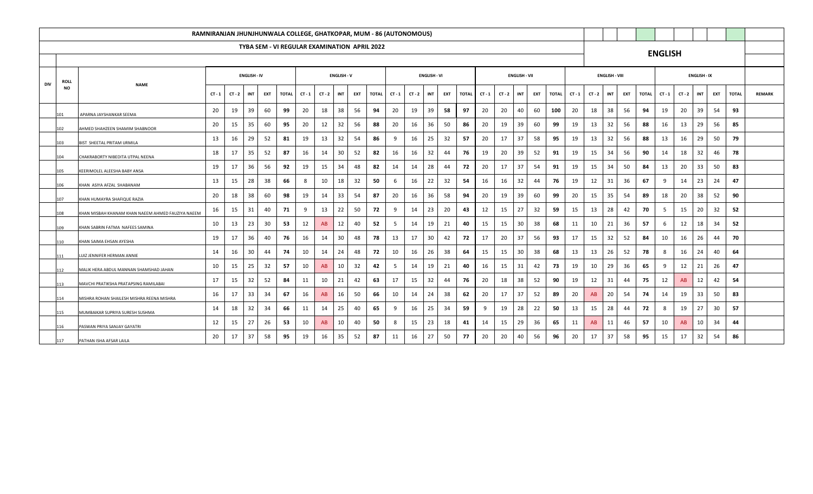|     |                                              |                                                   |                     |          |            |     | RAMNIRANJAN JHUNJHUNWALA COLLEGE, GHATKOPAR, MUM - 86 (AUTONOMOUS) |          |                    |            |                     |              |          |          |            |                |                      |          |          |            |     |              |          |                       |            |     |                     |          |          |            |     |              |               |
|-----|----------------------------------------------|---------------------------------------------------|---------------------|----------|------------|-----|--------------------------------------------------------------------|----------|--------------------|------------|---------------------|--------------|----------|----------|------------|----------------|----------------------|----------|----------|------------|-----|--------------|----------|-----------------------|------------|-----|---------------------|----------|----------|------------|-----|--------------|---------------|
|     | TYBA SEM - VI REGULAR EXAMINATION APRIL 2022 |                                                   |                     |          |            |     |                                                                    |          |                    |            |                     |              |          |          |            | <b>ENGLISH</b> |                      |          |          |            |     |              |          |                       |            |     |                     |          |          |            |     |              |               |
|     |                                              |                                                   |                     |          |            |     |                                                                    |          |                    |            |                     |              |          |          |            |                |                      |          |          |            |     |              |          |                       |            |     |                     |          |          |            |     |              |               |
| DIV | <b>ROLL</b>                                  | <b>NAME</b>                                       | <b>ENGLISH - IV</b> |          |            |     |                                                                    |          | <b>ENGLISH - V</b> |            | <b>ENGLISH - VI</b> |              |          |          |            |                | <b>ENGLISH - VII</b> |          |          |            |     |              |          | <b>ENGLISH - VIII</b> |            |     | <b>ENGLISH - IX</b> |          |          |            |     |              |               |
|     | NO                                           |                                                   | $CT - 1$            | $CT - 2$ | <b>INT</b> | EXT | <b>TOTAL</b>                                                       | $CT - 1$ | $CT - 2$           | <b>INT</b> | EXT                 | <b>TOTAL</b> | $CT - 1$ | $CT - 2$ | <b>INT</b> | EXT            | <b>TOTAL</b>         | $CT - 1$ | $CT - 2$ | <b>INT</b> | EXT | <b>TOTAL</b> | $CT - 1$ | $CT - 2$              | <b>INT</b> | EXT | <b>TOTAL</b>        | $CT - 1$ | $CT - 2$ | <b>INT</b> | EXT | <b>TOTAL</b> | <b>REMARK</b> |
|     | 101                                          | APARNA JAYSHANKAR SEEMA                           | 20                  | 19       | 39         | 60  | 99                                                                 | 20       | 18                 | 38         | 56                  | 94           | 20       | 19       | 39         | 58             | 97                   | 20       | 20       | 40         | 60  | 100          | 20       | 18                    | 38         | 56  | 94                  | 19       | 20       | 39         | 54  | 93           |               |
|     | 102                                          | AHMED SHAHZEEN SHAMIM SHABNOOR                    | 20                  | 15       | 35         | 60  | 95                                                                 | 20       | 12                 | 32         | 56                  | 88           | 20       | 16       | 36         | 50             | 86                   | 20       | 19       | 39         | 60  | 99           | 19       | 13                    | 32         | 56  | 88                  | 16       | 13       | 29         | 56  | 85           |               |
|     | 103                                          | BIST SHEETAL PRITAM URMILA                        | 13                  | 16       | 29         | 52  | 81                                                                 | 19       | 13                 | 32         | 54                  | 86           | 9        | 16       | 25         | 32             | 57                   | 20       | 17       | 37         | 58  | 95           | 19       | 13                    | 32         | 56  | 88                  | 13       | 16       | 29         | 50  | 79           |               |
|     | 104                                          | CHAKRABORTY NIBEDITA UTPAL NEENA                  | 18                  | 17       | 35         | 52  | 87                                                                 | 16       | 14                 | 30         | 52                  | 82           | 16       | 16       | 32         | 44             | 76                   | 19       | 20       | 39         | 52  | 91           | 19       | 15                    | 34         | 56  | 90                  | 14       | 18       | 32         | 46  | 78           |               |
|     | 105                                          | KEERIMOLEL ALEESHA BABY ANSA                      | 19                  | 17       | 36         | 56  | 92                                                                 | 19       | 15                 | 34         | 48                  | 82           | 14       | 14       | 28         | 44             | 72                   | 20       | 17       | 37         | 54  | 91           | 19       | 15                    | 34         | 50  | 84                  | 13       | 20       | 33         | 50  | 83           |               |
|     | 106                                          | KHAN ASIYA AFZAL SHABANAM                         | 13                  | 15       | 28         | 38  | 66                                                                 | 8        | 10                 | 18         | 32                  | 50           | 6        | 16       | 22         | 32             | 54                   | 16       | 16       | 32         | 44  | 76           | 19       | 12                    | 31         | 36  | 67                  | 9        | 14       | 23         | 24  | 47           |               |
|     | 107                                          | KHAN HUMAYRA SHAFIQUE RAZIA                       | 20                  | 18       | 38         | 60  | 98                                                                 | 19       | 14                 | 33         | 54                  | 87           | 20       | 16       | 36         | 58             | 94                   | 20       | 19       | 39         | 60  | 99           | 20       | 15                    | 35         | 54  | 89                  | 18       | 20       | 38         | 52  | 90           |               |
|     | 108                                          | KHAN MISBAH KHANAM KHAN NAEEM AHMED FAUZIYA NAEEM | 16                  | 15       | 31         | 40  | 71                                                                 | 9        | 13                 | 22         | 50                  | 72           | 9        | 14       | 23         | 20             | 43                   | 12       | 15       | 27         | 32  | 59           | 15       | 13                    | 28         | 42  | 70                  | 5        | 15       | 20         | 32  | 52           |               |
|     | 109                                          | KHAN SABRIN FATMA NAFEES SAMINA                   | 10                  | 13       | 23         | 30  | 53                                                                 | 12       | AB                 | 12         | 40                  | 52           | 5        | 14       | 19         | 21             | 40                   | 15       | 15       | 30         | 38  | 68           | 11       | 10                    | 21         | 36  | 57                  | 6        | 12       | 18         | 34  | 52           |               |
|     | 110                                          | KHAN SAIMA EHSAN AYESHA                           | 19                  | 17       | 36         | 40  | 76                                                                 | 16       | 14                 | 30         | 48                  | 78           | 13       | 17       | 30         | 42             | 72                   | 17       | 20       | 37         | 56  | 93           | 17       | 15                    | 32         | 52  | 84                  | 10       | 16       | 26         | 44  | 70           |               |
|     | 111                                          | LUIZ JENNIFER HERMAN ANNIE                        | 14                  | 16       | 30         | 44  | 74                                                                 | 10       | 14                 | 24         | 48                  | 72           | 10       | 16       | 26         | 38             | 64                   | 15       | 15       | 30         | 38  | 68           | 13       | 13                    | 26         | 52  | 78                  | 8        | 16       | 24         | 40  | 64           |               |
|     | 112                                          | MALIK HERA ABDUL MANNAN SHAMSHAD JAHAN            | 10                  | 15       | 25         | 32  | 57                                                                 | 10       | AB                 | 10         | 32                  | 42           | -5       | 14       | 19         | 21             | 40                   | 16       | 15       | 31         | 42  | 73           | 19       | 10                    | 29         | 36  | 65                  | 9        | 12       | 21         | 26  | 47           |               |
|     | 113                                          | MAVCHI PRATIKSHA PRATAPSING RAMILABAI             | 17                  | 15       | 32         | 52  | 84                                                                 | 11       | 10                 | 21         | 42                  | 63           | 17       | 15       | 32         | 44             | 76                   | 20       | 18       | 38         | 52  | 90           | 19       | 12                    | 31         | 44  | 75                  | 12       | AB       | 12         | 42  | 54           |               |
|     | 114                                          | MISHRA ROHAN SHAILESH MISHRA REENA MISHRA         | 16                  | 17       | 33         | 34  | 67                                                                 | 16       | AB                 | 16         | 50                  | 66           | 10       | 14       | 24         | 38             | 62                   | 20       | 17       | 37         | 52  | 89           | 20       | AB                    | 20         | 54  | 74                  | 14       | 19       | 33         | 50  | 83           |               |
|     | 115                                          | MUMBAIKAR SUPRIYA SURESH SUSHMA                   | 14                  | 18       | 32         | 34  | 66                                                                 | 11       | 14                 | 25         | 40                  | 65           | 9        | 16       | 25         | 34             | 59                   | 9        | 19       | 28         | 22  | 50           | 13       | 15                    | 28         | 44  | 72                  | 8        | 19       | 27         | 30  | 57           |               |
|     | 116                                          | PASWAN PRIYA SANJAY GAYATRI                       | 12                  | 15       | 27         | 26  | 53                                                                 | 10       | AB                 | 10         | 40                  | 50           | 8        | 15       | 23         | 18             | 41                   | 14       | 15       | 29         | 36  | 65           | 11       | AB                    | 11         | 46  | 57                  | 10       | AB       | 10         | 34  | 44           |               |
|     | 117                                          | PATHAN ISHA AFSAR LAILA                           | 20                  | 17       | 37         | 58  | 95                                                                 | 19       | 16                 | 35         | 52                  | 87           | 11       | 16       | 27         | 50             | 77                   | 20       | 20       | 40         | 56  | 96           | 20       | 17                    | 37         | 58  | 95                  | 15       | 17       | 32         | 54  | 86           |               |